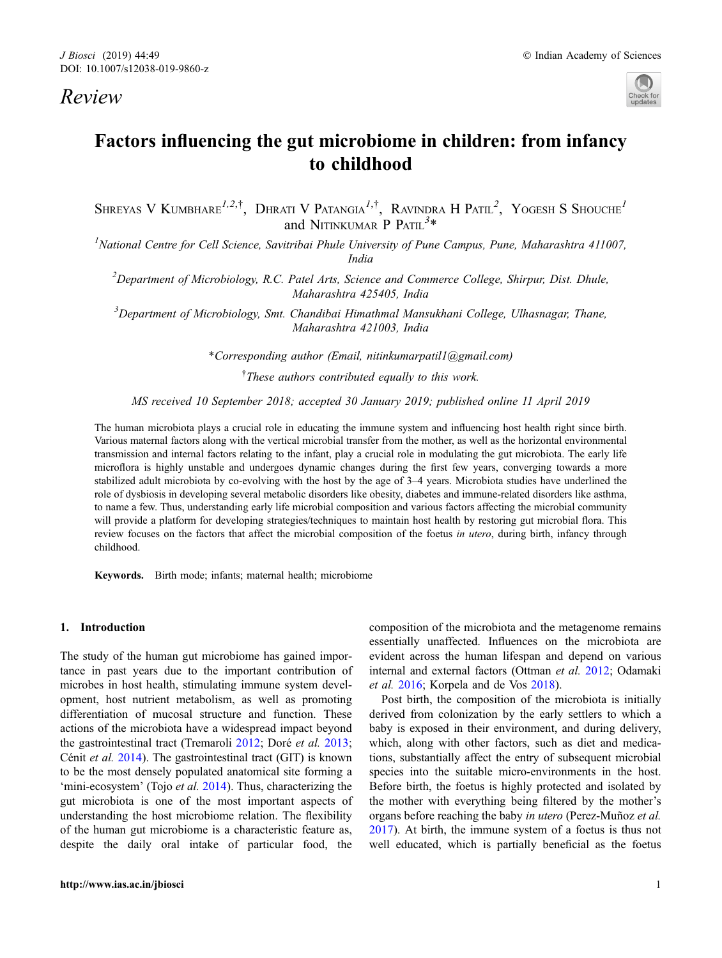# Review



# Factors influencing the gut microbiome in children: from infancy to childhood

SHREYAS V KUMBHARE<sup>1,2,†</sup>, DHRATI V PATANGIA<sup>1,†</sup>, RAVINDRA H PATIL<sup>2</sup>, YOGESH S SHOUCHE<sup>1</sup> and NITINKUMAR P PATIL<sup>3\*</sup>

<sup>1</sup>National Centre for Cell Science, Savitribai Phule University of Pune Campus, Pune, Maharashtra 411007, India

<sup>2</sup>Department of Microbiology, R.C. Patel Arts, Science and Commerce College, Shirpur, Dist. Dhule, Maharashtra 425405, India

<sup>3</sup>Department of Microbiology, Smt. Chandibai Himathmal Mansukhani College, Ulhasnagar, Thane, Maharashtra 421003, India

\*Corresponding author (Email, nitinkumarpatil1@gmail.com)

<sup>†</sup>These authors contributed equally to this work.

MS received 10 September 2018; accepted 30 January 2019; published online 11 April 2019

The human microbiota plays a crucial role in educating the immune system and influencing host health right since birth. Various maternal factors along with the vertical microbial transfer from the mother, as well as the horizontal environmental transmission and internal factors relating to the infant, play a crucial role in modulating the gut microbiota. The early life microflora is highly unstable and undergoes dynamic changes during the first few years, converging towards a more stabilized adult microbiota by co-evolving with the host by the age of 3–4 years. Microbiota studies have underlined the role of dysbiosis in developing several metabolic disorders like obesity, diabetes and immune-related disorders like asthma, to name a few. Thus, understanding early life microbial composition and various factors affecting the microbial community will provide a platform for developing strategies/techniques to maintain host health by restoring gut microbial flora. This review focuses on the factors that affect the microbial composition of the foetus in utero, during birth, infancy through childhood.

Keywords. Birth mode; infants; maternal health; microbiome

# 1. Introduction

The study of the human gut microbiome has gained importance in past years due to the important contribution of microbes in host health, stimulating immune system development, host nutrient metabolism, as well as promoting differentiation of mucosal structure and function. These actions of the microbiota have a widespread impact beyond the gastrointestinal tract (Tremaroli [2012;](#page-17-0) Doré *et al.* [2013;](#page-12-0) Cénit et al.  $2014$ ). The gastrointestinal tract (GIT) is known to be the most densely populated anatomical site forming a 'mini-ecosystem' (Tojo et al. [2014](#page-17-0)). Thus, characterizing the gut microbiota is one of the most important aspects of understanding the host microbiome relation. The flexibility of the human gut microbiome is a characteristic feature as, despite the daily oral intake of particular food, the composition of the microbiota and the metagenome remains essentially unaffected. Influences on the microbiota are evident across the human lifespan and depend on various internal and external factors (Ottman et al. [2012](#page-16-0); Odamaki et al. [2016;](#page-15-0) Korpela and de Vos [2018](#page-14-0)).

Post birth, the composition of the microbiota is initially derived from colonization by the early settlers to which a baby is exposed in their environment, and during delivery, which, along with other factors, such as diet and medications, substantially affect the entry of subsequent microbial species into the suitable micro-environments in the host. Before birth, the foetus is highly protected and isolated by the mother with everything being filtered by the mother's organs before reaching the baby in utero (Perez-Muñoz et al. [2017\)](#page-16-0). At birth, the immune system of a foetus is thus not well educated, which is partially beneficial as the foetus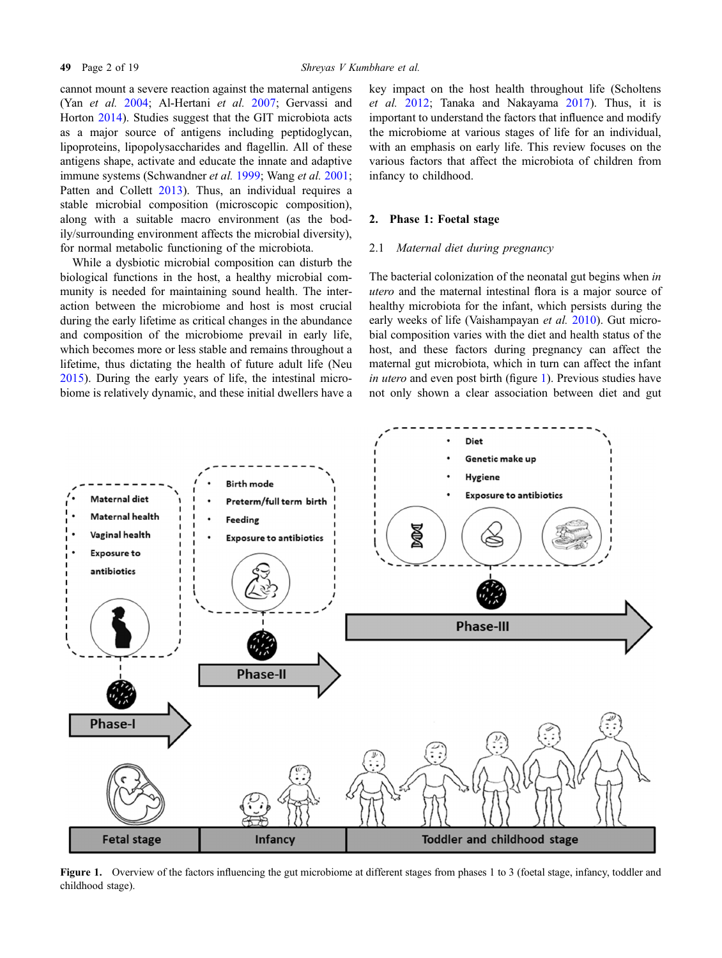cannot mount a severe reaction against the maternal antigens (Yan et al. [2004;](#page-17-0) Al-Hertani et al. [2007;](#page-11-0) Gervassi and Horton [2014](#page-13-0)). Studies suggest that the GIT microbiota acts as a major source of antigens including peptidoglycan, lipoproteins, lipopolysaccharides and flagellin. All of these antigens shape, activate and educate the innate and adaptive immune systems (Schwandner *et al.* [1999;](#page-16-0) Wang *et al.* [2001;](#page-17-0) Patten and Collett [2013\)](#page-16-0). Thus, an individual requires a stable microbial composition (microscopic composition), along with a suitable macro environment (as the bodily/surrounding environment affects the microbial diversity), for normal metabolic functioning of the microbiota.

While a dysbiotic microbial composition can disturb the biological functions in the host, a healthy microbial community is needed for maintaining sound health. The interaction between the microbiome and host is most crucial during the early lifetime as critical changes in the abundance and composition of the microbiome prevail in early life, which becomes more or less stable and remains throughout a lifetime, thus dictating the health of future adult life (Neu [2015\)](#page-15-0). During the early years of life, the intestinal microbiome is relatively dynamic, and these initial dwellers have a

key impact on the host health throughout life (Scholtens et al. [2012](#page-16-0); Tanaka and Nakayama [2017\)](#page-17-0). Thus, it is important to understand the factors that influence and modify the microbiome at various stages of life for an individual, with an emphasis on early life. This review focuses on the various factors that affect the microbiota of children from infancy to childhood.

#### 2. Phase 1: Foetal stage

#### 2.1 Maternal diet during pregnancy

The bacterial colonization of the neonatal gut begins when in utero and the maternal intestinal flora is a major source of healthy microbiota for the infant, which persists during the early weeks of life (Vaishampayan et al. [2010](#page-17-0)). Gut microbial composition varies with the diet and health status of the host, and these factors during pregnancy can affect the maternal gut microbiota, which in turn can affect the infant in utero and even post birth (figure  $1$ ). Previous studies have not only shown a clear association between diet and gut



Figure 1. Overview of the factors influencing the gut microbiome at different stages from phases 1 to 3 (foetal stage, infancy, toddler and childhood stage).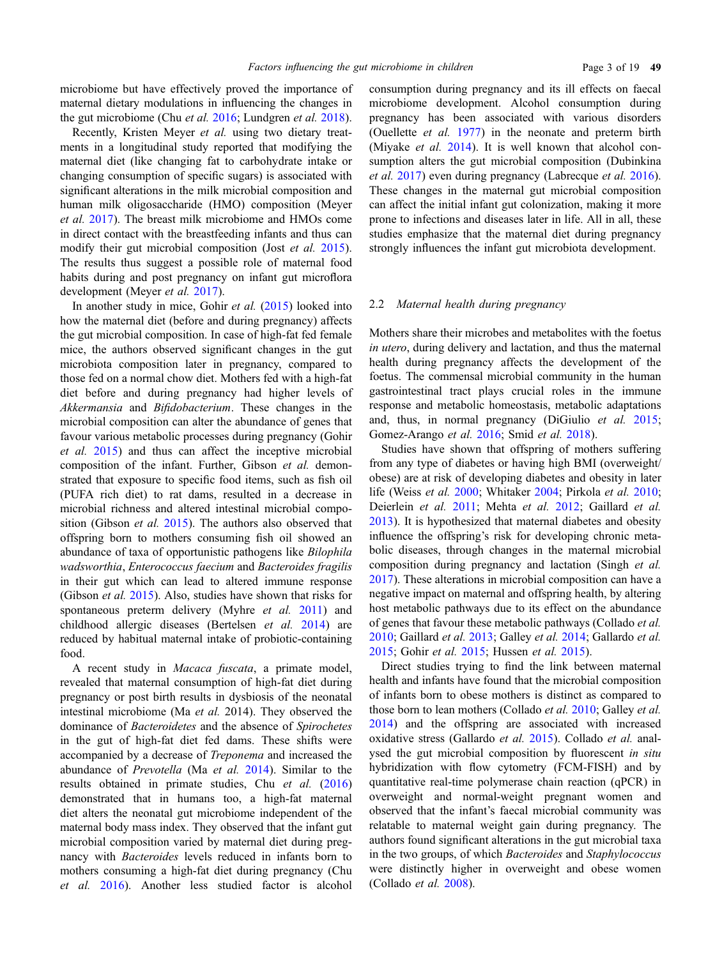microbiome but have effectively proved the importance of maternal dietary modulations in influencing the changes in the gut microbiome (Chu et al. [2016](#page-11-0); Lundgren et al. [2018\)](#page-15-0).

Recently, Kristen Meyer et al. using two dietary treatments in a longitudinal study reported that modifying the maternal diet (like changing fat to carbohydrate intake or changing consumption of specific sugars) is associated with significant alterations in the milk microbial composition and human milk oligosaccharide (HMO) composition (Meyer et al. [2017\)](#page-15-0). The breast milk microbiome and HMOs come in direct contact with the breastfeeding infants and thus can modify their gut microbial composition (Jost *et al.* [2015\)](#page-14-0). The results thus suggest a possible role of maternal food habits during and post pregnancy on infant gut microflora development (Meyer *et al.* [2017\)](#page-15-0).

In another study in mice, Gohir et al. [\(2015](#page-13-0)) looked into how the maternal diet (before and during pregnancy) affects the gut microbial composition. In case of high-fat fed female mice, the authors observed significant changes in the gut microbiota composition later in pregnancy, compared to those fed on a normal chow diet. Mothers fed with a high-fat diet before and during pregnancy had higher levels of Akkermansia and Bifidobacterium. These changes in the microbial composition can alter the abundance of genes that favour various metabolic processes during pregnancy (Gohir et al. [2015](#page-13-0)) and thus can affect the inceptive microbial composition of the infant. Further, Gibson et al. demonstrated that exposure to specific food items, such as fish oil (PUFA rich diet) to rat dams, resulted in a decrease in microbial richness and altered intestinal microbial composition (Gibson *et al.* [2015](#page-13-0)). The authors also observed that offspring born to mothers consuming fish oil showed an abundance of taxa of opportunistic pathogens like Bilophila wadsworthia, Enterococcus faecium and Bacteroides fragilis in their gut which can lead to altered immune response (Gibson et al. [2015](#page-13-0)). Also, studies have shown that risks for spontaneous preterm delivery (Myhre *et al.* [2011\)](#page-15-0) and childhood allergic diseases (Bertelsen et al. [2014\)](#page-11-0) are reduced by habitual maternal intake of probiotic-containing food.

A recent study in Macaca fuscata, a primate model, revealed that maternal consumption of high-fat diet during pregnancy or post birth results in dysbiosis of the neonatal intestinal microbiome (Ma et al. 2014). They observed the dominance of Bacteroidetes and the absence of Spirochetes in the gut of high-fat diet fed dams. These shifts were accompanied by a decrease of Treponema and increased the abundance of Prevotella (Ma et al. [2014](#page-15-0)). Similar to the results obtained in primate studies, Chu et al. [\(2016](#page-11-0)) demonstrated that in humans too, a high-fat maternal diet alters the neonatal gut microbiome independent of the maternal body mass index. They observed that the infant gut microbial composition varied by maternal diet during pregnancy with Bacteroides levels reduced in infants born to mothers consuming a high-fat diet during pregnancy (Chu et al. [2016\)](#page-11-0). Another less studied factor is alcohol

consumption during pregnancy and its ill effects on faecal microbiome development. Alcohol consumption during pregnancy has been associated with various disorders (Ouellette et al. [1977\)](#page-16-0) in the neonate and preterm birth (Miyake *et al.* [2014](#page-15-0)). It is well known that alcohol consumption alters the gut microbial composition (Dubinkina et al. [2017\)](#page-12-0) even during pregnancy (Labrecque et al. [2016\)](#page-14-0). These changes in the maternal gut microbial composition can affect the initial infant gut colonization, making it more prone to infections and diseases later in life. All in all, these studies emphasize that the maternal diet during pregnancy strongly influences the infant gut microbiota development.

# 2.2 Maternal health during pregnancy

Mothers share their microbes and metabolites with the foetus in utero, during delivery and lactation, and thus the maternal health during pregnancy affects the development of the foetus. The commensal microbial community in the human gastrointestinal tract plays crucial roles in the immune response and metabolic homeostasis, metabolic adaptations and, thus, in normal pregnancy (DiGiulio et al. [2015;](#page-12-0) Gomez-Arango et al. [2016](#page-13-0); Smid et al. [2018\)](#page-16-0).

Studies have shown that offspring of mothers suffering from any type of diabetes or having high BMI (overweight/ obese) are at risk of developing diabetes and obesity in later life (Weiss et al. [2000](#page-17-0); Whitaker [2004](#page-17-0); Pirkola et al. [2010;](#page-16-0) Deierlein et al. [2011](#page-12-0); Mehta et al. [2012](#page-15-0); Gaillard et al. [2013\)](#page-13-0). It is hypothesized that maternal diabetes and obesity influence the offspring's risk for developing chronic metabolic diseases, through changes in the maternal microbial composition during pregnancy and lactation (Singh et al. [2017\)](#page-16-0). These alterations in microbial composition can have a negative impact on maternal and offspring health, by altering host metabolic pathways due to its effect on the abundance of genes that favour these metabolic pathways (Collado et al. [2010;](#page-12-0) Gaillard et al. [2013](#page-13-0); Galley et al. [2014;](#page-13-0) Gallardo et al. [2015;](#page-13-0) Gohir et al. [2015;](#page-13-0) Hussen et al. [2015](#page-13-0)).

Direct studies trying to find the link between maternal health and infants have found that the microbial composition of infants born to obese mothers is distinct as compared to those born to lean mothers (Collado *et al.* [2010;](#page-12-0) Galley *et al.* [2014\)](#page-13-0) and the offspring are associated with increased oxidative stress (Gallardo et al. [2015\)](#page-13-0). Collado et al. analysed the gut microbial composition by fluorescent in situ hybridization with flow cytometry (FCM-FISH) and by quantitative real-time polymerase chain reaction (qPCR) in overweight and normal-weight pregnant women and observed that the infant's faecal microbial community was relatable to maternal weight gain during pregnancy. The authors found significant alterations in the gut microbial taxa in the two groups, of which Bacteroides and Staphylococcus were distinctly higher in overweight and obese women (Collado et al. [2008\)](#page-12-0).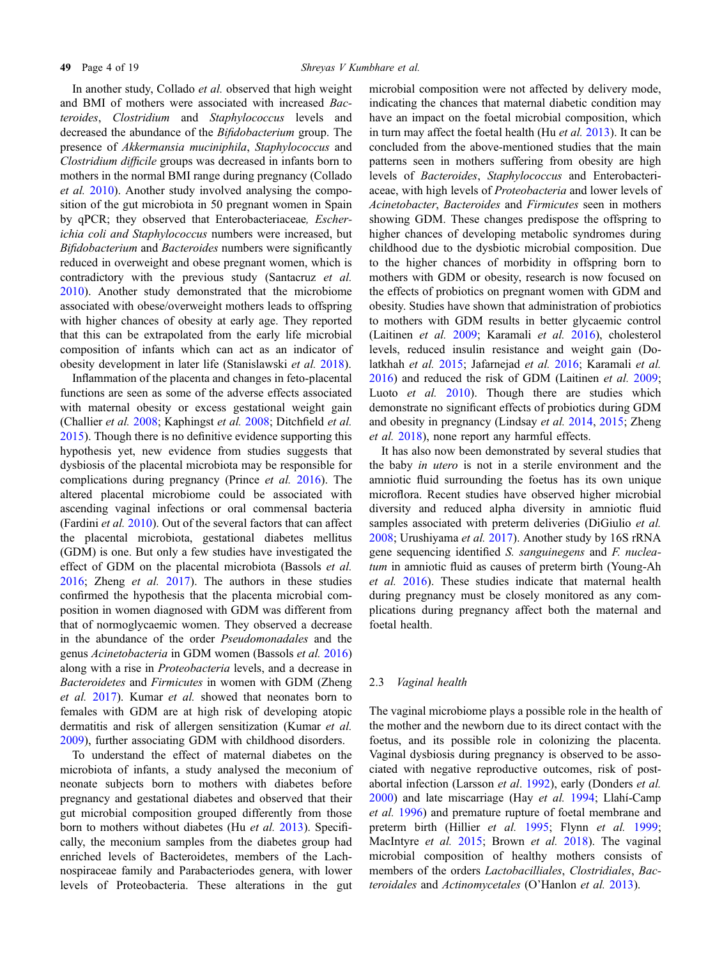In another study, Collado *et al.* observed that high weight and BMI of mothers were associated with increased Bacteroides, Clostridium and Staphylococcus levels and decreased the abundance of the Bifidobacterium group. The presence of Akkermansia muciniphila, Staphylococcus and Clostridium difficile groups was decreased in infants born to mothers in the normal BMI range during pregnancy (Collado et al. [2010](#page-12-0)). Another study involved analysing the composition of the gut microbiota in 50 pregnant women in Spain by qPCR; they observed that Enterobacteriaceae, Escherichia coli and Staphylococcus numbers were increased, but Bifidobacterium and Bacteroides numbers were significantly reduced in overweight and obese pregnant women, which is contradictory with the previous study (Santacruz et al. [2010\)](#page-16-0). Another study demonstrated that the microbiome associated with obese/overweight mothers leads to offspring with higher chances of obesity at early age. They reported that this can be extrapolated from the early life microbial composition of infants which can act as an indicator of obesity development in later life (Stanislawski et al. [2018](#page-17-0)).

Inflammation of the placenta and changes in feto-placental functions are seen as some of the adverse effects associated with maternal obesity or excess gestational weight gain (Challier et al. [2008](#page-11-0); Kaphingst et al. [2008](#page-14-0); Ditchfield et al. [2015\)](#page-12-0). Though there is no definitive evidence supporting this hypothesis yet, new evidence from studies suggests that dysbiosis of the placental microbiota may be responsible for complications during pregnancy (Prince et al. [2016\)](#page-16-0). The altered placental microbiome could be associated with ascending vaginal infections or oral commensal bacteria (Fardini et al. [2010\)](#page-12-0). Out of the several factors that can affect the placental microbiota, gestational diabetes mellitus (GDM) is one. But only a few studies have investigated the effect of GDM on the placental microbiota (Bassols et al. [2016;](#page-11-0) Zheng et al. [2017](#page-18-0)). The authors in these studies confirmed the hypothesis that the placenta microbial composition in women diagnosed with GDM was different from that of normoglycaemic women. They observed a decrease in the abundance of the order Pseudomonadales and the genus Acinetobacteria in GDM women (Bassols et al. [2016](#page-11-0)) along with a rise in Proteobacteria levels, and a decrease in Bacteroidetes and Firmicutes in women with GDM (Zheng et al. [2017](#page-18-0)). Kumar et al. showed that neonates born to females with GDM are at high risk of developing atopic dermatitis and risk of allergen sensitization (Kumar et al. [2009\)](#page-14-0), further associating GDM with childhood disorders.

To understand the effect of maternal diabetes on the microbiota of infants, a study analysed the meconium of neonate subjects born to mothers with diabetes before pregnancy and gestational diabetes and observed that their gut microbial composition grouped differently from those born to mothers without diabetes (Hu et al. [2013\)](#page-13-0). Specifically, the meconium samples from the diabetes group had enriched levels of Bacteroidetes, members of the Lachnospiraceae family and Parabacteriodes genera, with lower levels of Proteobacteria. These alterations in the gut

microbial composition were not affected by delivery mode, indicating the chances that maternal diabetic condition may have an impact on the foetal microbial composition, which in turn may affect the foetal health (Hu et al. [2013](#page-13-0)). It can be concluded from the above-mentioned studies that the main patterns seen in mothers suffering from obesity are high levels of Bacteroides, Staphylococcus and Enterobacteriaceae, with high levels of Proteobacteria and lower levels of Acinetobacter, Bacteroides and Firmicutes seen in mothers showing GDM. These changes predispose the offspring to higher chances of developing metabolic syndromes during childhood due to the dysbiotic microbial composition. Due to the higher chances of morbidity in offspring born to mothers with GDM or obesity, research is now focused on the effects of probiotics on pregnant women with GDM and obesity. Studies have shown that administration of probiotics to mothers with GDM results in better glycaemic control (Laitinen et al. [2009;](#page-14-0) Karamali et al. [2016](#page-14-0)), cholesterol levels, reduced insulin resistance and weight gain (Dolatkhah et al. [2015](#page-12-0); Jafarnejad et al. [2016;](#page-14-0) Karamali et al. [2016\)](#page-14-0) and reduced the risk of GDM (Laitinen et al. [2009;](#page-14-0) Luoto *et al.* [2010](#page-15-0)). Though there are studies which demonstrate no significant effects of probiotics during GDM and obesity in pregnancy (Lindsay et al. [2014](#page-14-0), [2015;](#page-14-0) Zheng et al. [2018\)](#page-18-0), none report any harmful effects.

It has also now been demonstrated by several studies that the baby in utero is not in a sterile environment and the amniotic fluid surrounding the foetus has its own unique microflora. Recent studies have observed higher microbial diversity and reduced alpha diversity in amniotic fluid samples associated with preterm deliveries (DiGiulio et al. [2008;](#page-12-0) Urushiyama et al. [2017](#page-17-0)). Another study by 16S rRNA gene sequencing identified S. sanguinegens and F. nucleatum in amniotic fluid as causes of preterm birth (Young-Ah et al. [2016\)](#page-18-0). These studies indicate that maternal health during pregnancy must be closely monitored as any complications during pregnancy affect both the maternal and foetal health.

#### 2.3 Vaginal health

The vaginal microbiome plays a possible role in the health of the mother and the newborn due to its direct contact with the foetus, and its possible role in colonizing the placenta. Vaginal dysbiosis during pregnancy is observed to be associated with negative reproductive outcomes, risk of post-abortal infection (Larsson et al. [1992](#page-14-0)), early (Donders et al.  $2000$ ) and late miscarriage (Hay et al. [1994;](#page-13-0) Llahí-Camp et al. [1996\)](#page-15-0) and premature rupture of foetal membrane and preterm birth (Hillier et al. [1995](#page-13-0); Flynn et al. [1999;](#page-12-0) MacIntyre et al. [2015](#page-15-0); Brown et al. [2018](#page-11-0)). The vaginal microbial composition of healthy mothers consists of members of the orders Lactobacilliales, Clostridiales, Bacteroidales and Actinomycetales (O'Hanlon et al. [2013\)](#page-15-0).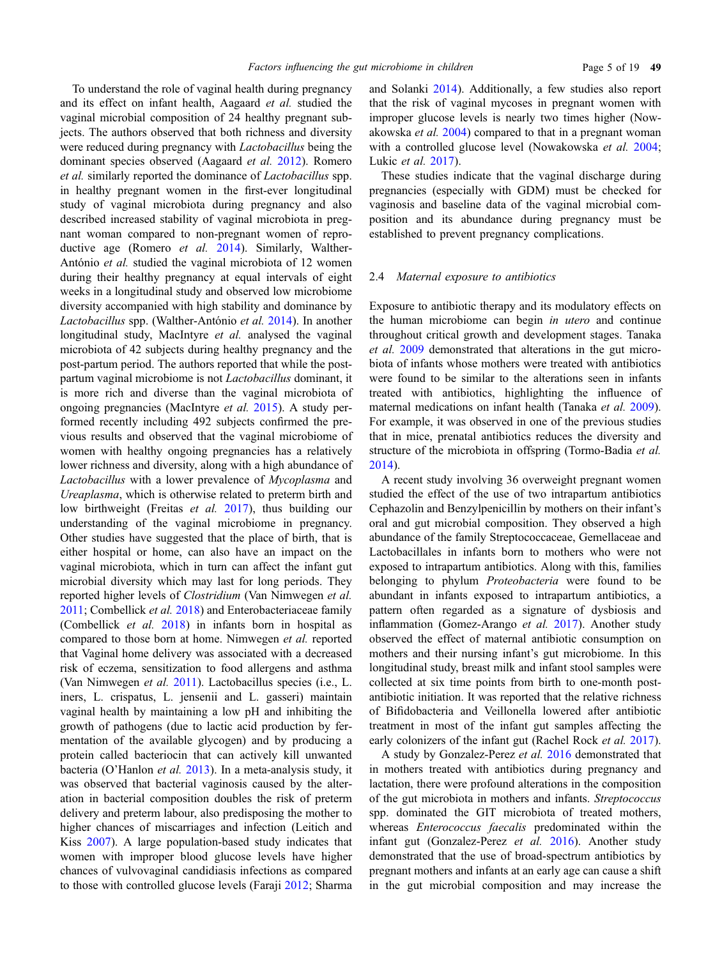To understand the role of vaginal health during pregnancy and its effect on infant health, Aagaard et al. studied the vaginal microbial composition of 24 healthy pregnant subjects. The authors observed that both richness and diversity were reduced during pregnancy with Lactobacillus being the dominant species observed (Aagaard et al. [2012\)](#page-10-0). Romero et al. similarly reported the dominance of Lactobacillus spp. in healthy pregnant women in the first-ever longitudinal study of vaginal microbiota during pregnancy and also described increased stability of vaginal microbiota in pregnant woman compared to non-pregnant women of reproductive age (Romero *et al.* [2014\)](#page-16-0). Similarly, Walther-António et al. studied the vaginal microbiota of 12 women during their healthy pregnancy at equal intervals of eight weeks in a longitudinal study and observed low microbiome diversity accompanied with high stability and dominance by Lactobacillus spp. (Walther-António et al. [2014](#page-17-0)). In another longitudinal study, MacIntyre et al. analysed the vaginal microbiota of 42 subjects during healthy pregnancy and the post-partum period. The authors reported that while the postpartum vaginal microbiome is not Lactobacillus dominant, it is more rich and diverse than the vaginal microbiota of ongoing pregnancies (MacIntyre et al. [2015](#page-15-0)). A study performed recently including 492 subjects confirmed the previous results and observed that the vaginal microbiome of women with healthy ongoing pregnancies has a relatively lower richness and diversity, along with a high abundance of Lactobacillus with a lower prevalence of Mycoplasma and Ureaplasma, which is otherwise related to preterm birth and low birthweight (Freitas et al. [2017](#page-13-0)), thus building our understanding of the vaginal microbiome in pregnancy. Other studies have suggested that the place of birth, that is either hospital or home, can also have an impact on the vaginal microbiota, which in turn can affect the infant gut microbial diversity which may last for long periods. They reported higher levels of Clostridium (Van Nimwegen et al. [2011](#page-17-0); Combellick et al. [2018](#page-12-0)) and Enterobacteriaceae family (Combellick et al. [2018](#page-12-0)) in infants born in hospital as compared to those born at home. Nimwegen et al. reported that Vaginal home delivery was associated with a decreased risk of eczema, sensitization to food allergens and asthma (Van Nimwegen et al. [2011\)](#page-17-0). Lactobacillus species (i.e., L. iners, L. crispatus, L. jensenii and L. gasseri) maintain vaginal health by maintaining a low pH and inhibiting the growth of pathogens (due to lactic acid production by fermentation of the available glycogen) and by producing a protein called bacteriocin that can actively kill unwanted bacteria (O'Hanlon et al. [2013](#page-15-0)). In a meta-analysis study, it was observed that bacterial vaginosis caused by the alteration in bacterial composition doubles the risk of preterm delivery and preterm labour, also predisposing the mother to higher chances of miscarriages and infection (Leitich and Kiss [2007\)](#page-14-0). A large population-based study indicates that women with improper blood glucose levels have higher chances of vulvovaginal candidiasis infections as compared to those with controlled glucose levels (Faraji [2012;](#page-12-0) Sharma

and Solanki [2014\)](#page-16-0). Additionally, a few studies also report that the risk of vaginal mycoses in pregnant women with improper glucose levels is nearly two times higher (Nowakowska et al. [2004](#page-15-0)) compared to that in a pregnant woman with a controlled glucose level (Nowakowska et al. [2004;](#page-15-0) Lukic et al. [2017\)](#page-15-0).

These studies indicate that the vaginal discharge during pregnancies (especially with GDM) must be checked for vaginosis and baseline data of the vaginal microbial composition and its abundance during pregnancy must be established to prevent pregnancy complications.

## 2.4 Maternal exposure to antibiotics

Exposure to antibiotic therapy and its modulatory effects on the human microbiome can begin in utero and continue throughout critical growth and development stages. Tanaka et al. [2009](#page-17-0) demonstrated that alterations in the gut microbiota of infants whose mothers were treated with antibiotics were found to be similar to the alterations seen in infants treated with antibiotics, highlighting the influence of maternal medications on infant health (Tanaka et al. [2009\)](#page-17-0). For example, it was observed in one of the previous studies that in mice, prenatal antibiotics reduces the diversity and structure of the microbiota in offspring (Tormo-Badia et al. [2014\)](#page-17-0).

A recent study involving 36 overweight pregnant women studied the effect of the use of two intrapartum antibiotics Cephazolin and Benzylpenicillin by mothers on their infant's oral and gut microbial composition. They observed a high abundance of the family Streptococcaceae, Gemellaceae and Lactobacillales in infants born to mothers who were not exposed to intrapartum antibiotics. Along with this, families belonging to phylum *Proteobacteria* were found to be abundant in infants exposed to intrapartum antibiotics, a pattern often regarded as a signature of dysbiosis and inflammation (Gomez-Arango et al. [2017](#page-13-0)). Another study observed the effect of maternal antibiotic consumption on mothers and their nursing infant's gut microbiome. In this longitudinal study, breast milk and infant stool samples were collected at six time points from birth to one-month postantibiotic initiation. It was reported that the relative richness of Bifidobacteria and Veillonella lowered after antibiotic treatment in most of the infant gut samples affecting the early colonizers of the infant gut (Rachel Rock *et al.* [2017\)](#page-16-0).

A study by Gonzalez-Perez et al. [2016](#page-13-0) demonstrated that in mothers treated with antibiotics during pregnancy and lactation, there were profound alterations in the composition of the gut microbiota in mothers and infants. Streptococcus spp. dominated the GIT microbiota of treated mothers, whereas Enterococcus faecalis predominated within the infant gut (Gonzalez-Perez et al. [2016\)](#page-13-0). Another study demonstrated that the use of broad-spectrum antibiotics by pregnant mothers and infants at an early age can cause a shift in the gut microbial composition and may increase the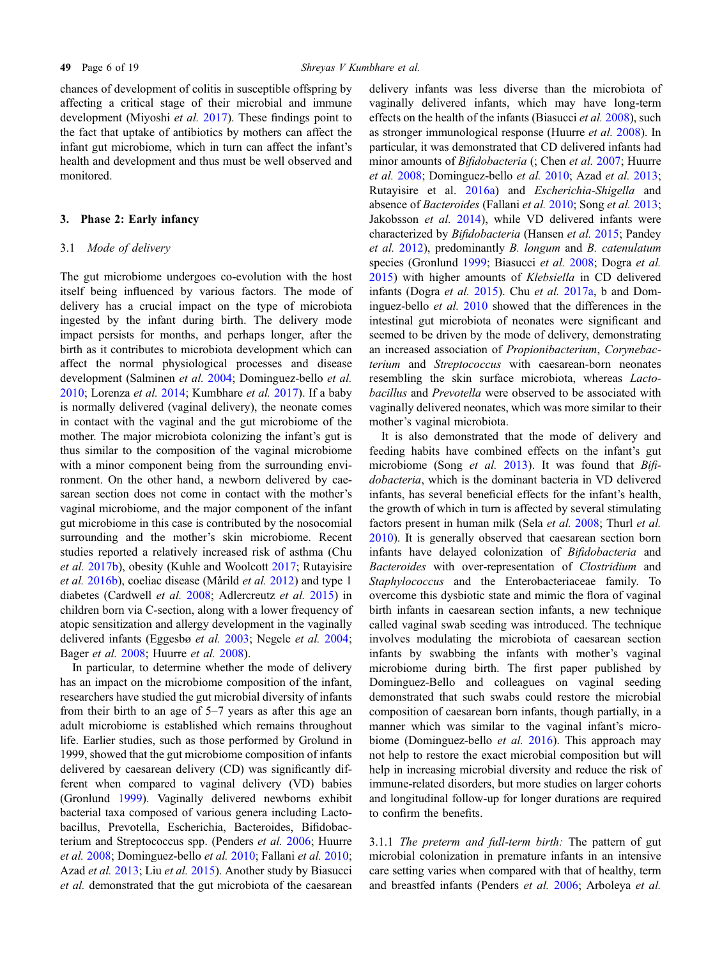chances of development of colitis in susceptible offspring by affecting a critical stage of their microbial and immune development (Miyoshi *et al.* [2017\)](#page-15-0). These findings point to the fact that uptake of antibiotics by mothers can affect the infant gut microbiome, which in turn can affect the infant's health and development and thus must be well observed and monitored.

### 3. Phase 2: Early infancy

#### 3.1 Mode of delivery

The gut microbiome undergoes co-evolution with the host itself being influenced by various factors. The mode of delivery has a crucial impact on the type of microbiota ingested by the infant during birth. The delivery mode impact persists for months, and perhaps longer, after the birth as it contributes to microbiota development which can affect the normal physiological processes and disease development (Salminen et al. [2004;](#page-16-0) Dominguez-bello et al. [2010;](#page-12-0) Lorenza et al. [2014](#page-15-0); Kumbhare et al. [2017](#page-14-0)). If a baby is normally delivered (vaginal delivery), the neonate comes in contact with the vaginal and the gut microbiome of the mother. The major microbiota colonizing the infant's gut is thus similar to the composition of the vaginal microbiome with a minor component being from the surrounding environment. On the other hand, a newborn delivered by caesarean section does not come in contact with the mother's vaginal microbiome, and the major component of the infant gut microbiome in this case is contributed by the nosocomial surrounding and the mother's skin microbiome. Recent studies reported a relatively increased risk of asthma (Chu et al. [2017b\)](#page-11-0), obesity (Kuhle and Woolcott [2017](#page-14-0); Rutayisire et al. [2016b](#page-16-0)), coeliac disease (Mårild et al. [2012\)](#page-15-0) and type 1 diabetes (Cardwell et al. [2008;](#page-11-0) Adlercreutz et al. [2015\)](#page-10-0) in children born via C-section, along with a lower frequency of atopic sensitization and allergy development in the vaginally delivered infants (Eggesbø et al. [2003;](#page-12-0) Negele et al. [2004;](#page-15-0) Bager et al. [2008](#page-11-0); Huurre et al. [2008](#page-14-0)).

In particular, to determine whether the mode of delivery has an impact on the microbiome composition of the infant, researchers have studied the gut microbial diversity of infants from their birth to an age of 5–7 years as after this age an adult microbiome is established which remains throughout life. Earlier studies, such as those performed by Grolund in 1999, showed that the gut microbiome composition of infants delivered by caesarean delivery (CD) was significantly different when compared to vaginal delivery (VD) babies (Gronlund [1999\)](#page-13-0). Vaginally delivered newborns exhibit bacterial taxa composed of various genera including Lactobacillus, Prevotella, Escherichia, Bacteroides, Bifidobacterium and Streptococcus spp. (Penders et al. [2006;](#page-16-0) Huurre et al. [2008;](#page-14-0) Dominguez-bello et al. [2010;](#page-12-0) Fallani et al. [2010;](#page-12-0) Azad et al. [2013;](#page-11-0) Liu et al. [2015\)](#page-14-0). Another study by Biasucci et al. demonstrated that the gut microbiota of the caesarean

delivery infants was less diverse than the microbiota of vaginally delivered infants, which may have long-term effects on the health of the infants (Biasucci et al. [2008\)](#page-11-0), such as stronger immunological response (Huurre et al. [2008\)](#page-14-0). In particular, it was demonstrated that CD delivered infants had minor amounts of *Bifidobacteria* (; Chen *et al.* [2007](#page-11-0); Huurre et al. [2008](#page-14-0); Dominguez-bello et al. [2010;](#page-12-0) Azad et al. [2013;](#page-11-0) Rutayisire et al. [2016a\)](#page-16-0) and Escherichia-Shigella and absence of Bacteroides (Fallani et al. [2010](#page-12-0); Song et al. [2013;](#page-17-0) Jakobsson et al. [2014](#page-14-0)), while VD delivered infants were characterized by Bifidobacteria (Hansen et al. [2015;](#page-13-0) Pandey et al. [2012](#page-16-0)), predominantly B. longum and B. catenulatum species (Gronlund [1999;](#page-13-0) Biasucci et al. [2008](#page-11-0); Dogra et al. [2015\)](#page-12-0) with higher amounts of Klebsiella in CD delivered infants (Dogra et al. [2015](#page-12-0)). Chu et al. [2017a,](#page-11-0) b and Dominguez-bello et al. [2010](#page-12-0) showed that the differences in the intestinal gut microbiota of neonates were significant and seemed to be driven by the mode of delivery, demonstrating an increased association of Propionibacterium, Corynebacterium and Streptococcus with caesarean-born neonates resembling the skin surface microbiota, whereas Lactobacillus and Prevotella were observed to be associated with vaginally delivered neonates, which was more similar to their mother's vaginal microbiota.

It is also demonstrated that the mode of delivery and feeding habits have combined effects on the infant's gut microbiome (Song *et al.* [2013\)](#page-17-0). It was found that  $Bi\hat{h}$ dobacteria, which is the dominant bacteria in VD delivered infants, has several beneficial effects for the infant's health, the growth of which in turn is affected by several stimulating factors present in human milk (Sela et al. [2008;](#page-16-0) Thurl et al. [2010\)](#page-17-0). It is generally observed that caesarean section born infants have delayed colonization of Bifidobacteria and Bacteroides with over-representation of Clostridium and Staphylococcus and the Enterobacteriaceae family. To overcome this dysbiotic state and mimic the flora of vaginal birth infants in caesarean section infants, a new technique called vaginal swab seeding was introduced. The technique involves modulating the microbiota of caesarean section infants by swabbing the infants with mother's vaginal microbiome during birth. The first paper published by Dominguez-Bello and colleagues on vaginal seeding demonstrated that such swabs could restore the microbial composition of caesarean born infants, though partially, in a manner which was similar to the vaginal infant's microbiome (Dominguez-bello et al. [2016](#page-12-0)). This approach may not help to restore the exact microbial composition but will help in increasing microbial diversity and reduce the risk of immune-related disorders, but more studies on larger cohorts and longitudinal follow-up for longer durations are required to confirm the benefits.

3.1.1 The preterm and full-term birth: The pattern of gut microbial colonization in premature infants in an intensive care setting varies when compared with that of healthy, term and breastfed infants (Penders et al. [2006](#page-16-0); Arboleya et al.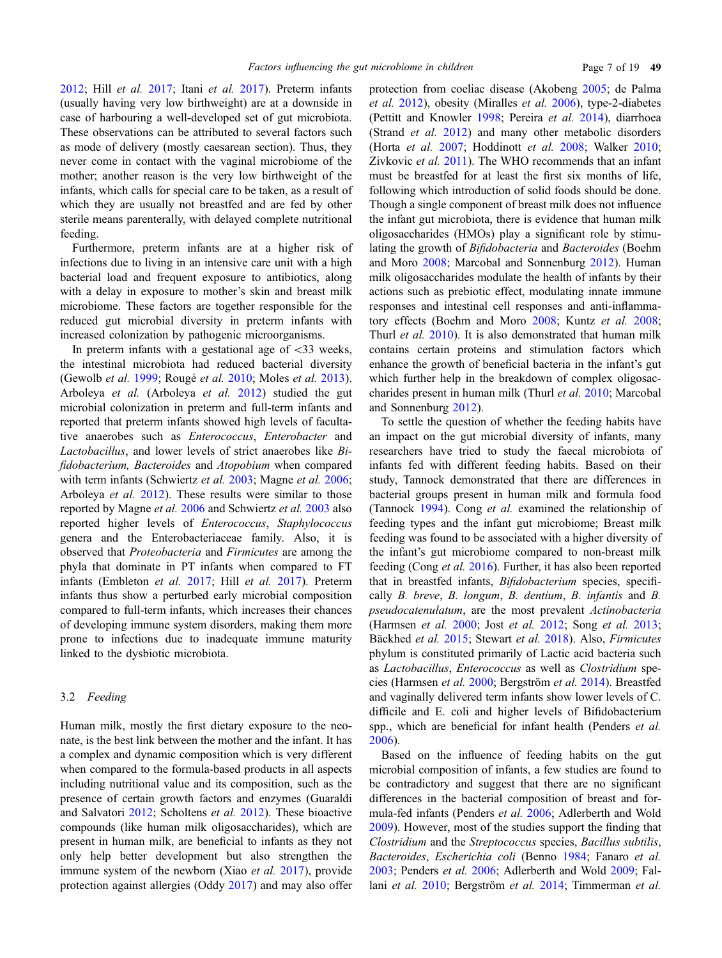[2012;](#page-11-0) Hill et al. [2017](#page-13-0); Itani et al. [2017](#page-14-0)). Preterm infants (usually having very low birthweight) are at a downside in case of harbouring a well-developed set of gut microbiota. These observations can be attributed to several factors such as mode of delivery (mostly caesarean section). Thus, they never come in contact with the vaginal microbiome of the mother; another reason is the very low birthweight of the infants, which calls for special care to be taken, as a result of which they are usually not breastfed and are fed by other sterile means parenterally, with delayed complete nutritional feeding.

Furthermore, preterm infants are at a higher risk of infections due to living in an intensive care unit with a high bacterial load and frequent exposure to antibiotics, along with a delay in exposure to mother's skin and breast milk microbiome. These factors are together responsible for the reduced gut microbial diversity in preterm infants with increased colonization by pathogenic microorganisms.

In preterm infants with a gestational age of  $\langle 33 \rangle$  weeks, the intestinal microbiota had reduced bacterial diversity (Gewolb *et al.* [1999](#page-13-0); Rougé *et al.* [2010](#page-16-0); Moles *et al.* [2013\)](#page-15-0). Arboleya et al. (Arboleya et al. [2012](#page-11-0)) studied the gut microbial colonization in preterm and full-term infants and reported that preterm infants showed high levels of facultative anaerobes such as Enterococcus, Enterobacter and Lactobacillus, and lower levels of strict anaerobes like Bifidobacterium, Bacteroides and Atopobium when compared with term infants (Schwiertz et al. [2003;](#page-16-0) Magne et al. [2006;](#page-15-0) Arboleya et al. [2012\)](#page-11-0). These results were similar to those reported by Magne et al. [2006](#page-15-0) and Schwiertz et al. [2003](#page-16-0) also reported higher levels of Enterococcus, Staphylococcus genera and the Enterobacteriaceae family. Also, it is observed that Proteobacteria and Firmicutes are among the phyla that dominate in PT infants when compared to FT infants (Embleton et al. [2017;](#page-12-0) Hill et al. [2017\)](#page-13-0). Preterm infants thus show a perturbed early microbial composition compared to full-term infants, which increases their chances of developing immune system disorders, making them more prone to infections due to inadequate immune maturity linked to the dysbiotic microbiota.

#### 3.2 Feeding

Human milk, mostly the first dietary exposure to the neonate, is the best link between the mother and the infant. It has a complex and dynamic composition which is very different when compared to the formula-based products in all aspects including nutritional value and its composition, such as the presence of certain growth factors and enzymes (Guaraldi and Salvatori [2012](#page-13-0); Scholtens et al. [2012](#page-16-0)). These bioactive compounds (like human milk oligosaccharides), which are present in human milk, are beneficial to infants as they not only help better development but also strengthen the immune system of the newborn (Xiao et al. [2017](#page-17-0)), provide protection against allergies (Oddy [2017\)](#page-15-0) and may also offer

protection from coeliac disease (Akobeng [2005;](#page-11-0) de Palma et al. [2012](#page-12-0)), obesity (Miralles et al. [2006](#page-15-0)), type-2-diabetes (Pettitt and Knowler [1998](#page-16-0); Pereira et al. [2014](#page-16-0)), diarrhoea (Strand et al. [2012\)](#page-17-0) and many other metabolic disorders (Horta et al. [2007](#page-13-0); Hoddinott et al. [2008](#page-13-0); Walker [2010;](#page-17-0) Zivkovic et al. [2011](#page-18-0)). The WHO recommends that an infant must be breastfed for at least the first six months of life, following which introduction of solid foods should be done. Though a single component of breast milk does not influence the infant gut microbiota, there is evidence that human milk oligosaccharides (HMOs) play a significant role by stimulating the growth of Bifidobacteria and Bacteroides (Boehm and Moro [2008;](#page-11-0) Marcobal and Sonnenburg [2012\)](#page-15-0). Human milk oligosaccharides modulate the health of infants by their actions such as prebiotic effect, modulating innate immune responses and intestinal cell responses and anti-inflamma-tory effects (Boehm and Moro [2008](#page-11-0); Kuntz et al. [2008;](#page-14-0) Thurl et al. [2010](#page-17-0)). It is also demonstrated that human milk contains certain proteins and stimulation factors which enhance the growth of beneficial bacteria in the infant's gut which further help in the breakdown of complex oligosaccharides present in human milk (Thurl et al. [2010](#page-17-0); Marcobal and Sonnenburg [2012\)](#page-15-0).

To settle the question of whether the feeding habits have an impact on the gut microbial diversity of infants, many researchers have tried to study the faecal microbiota of infants fed with different feeding habits. Based on their study, Tannock demonstrated that there are differences in bacterial groups present in human milk and formula food (Tannock [1994](#page-17-0)). Cong et al. examined the relationship of feeding types and the infant gut microbiome; Breast milk feeding was found to be associated with a higher diversity of the infant's gut microbiome compared to non-breast milk feeding (Cong et al. [2016\)](#page-12-0). Further, it has also been reported that in breastfed infants, *Bifidobacterium* species, specifically B. breve, B. longum, B. dentium, B. infantis and B. pseudocatenulatum, are the most prevalent Actinobacteria (Harmsen et al. [2000;](#page-13-0) Jost et al. [2012;](#page-14-0) Song et al. [2013;](#page-17-0) Bäckhed et al. [2015](#page-11-0); Stewart et al. [2018](#page-17-0)). Also, Firmicutes phylum is constituted primarily of Lactic acid bacteria such as Lactobacillus, Enterococcus as well as Clostridium spe-cies (Harmsen et al. [2000](#page-13-0); Bergström et al. [2014](#page-11-0)). Breastfed and vaginally delivered term infants show lower levels of C. difficile and E. coli and higher levels of Bifidobacterium spp., which are beneficial for infant health (Penders et al. [2006\)](#page-16-0).

Based on the influence of feeding habits on the gut microbial composition of infants, a few studies are found to be contradictory and suggest that there are no significant differences in the bacterial composition of breast and formula-fed infants (Penders et al. [2006;](#page-16-0) Adlerberth and Wold [2009\)](#page-10-0). However, most of the studies support the finding that Clostridium and the Streptococcus species, Bacillus subtilis, Bacteroides, Escherichia coli (Benno [1984](#page-11-0); Fanaro et al. [2003;](#page-12-0) Penders et al. [2006](#page-16-0); Adlerberth and Wold [2009;](#page-10-0) Fal-lani et al. [2010](#page-12-0); Bergström et al. [2014;](#page-11-0) Timmerman et al.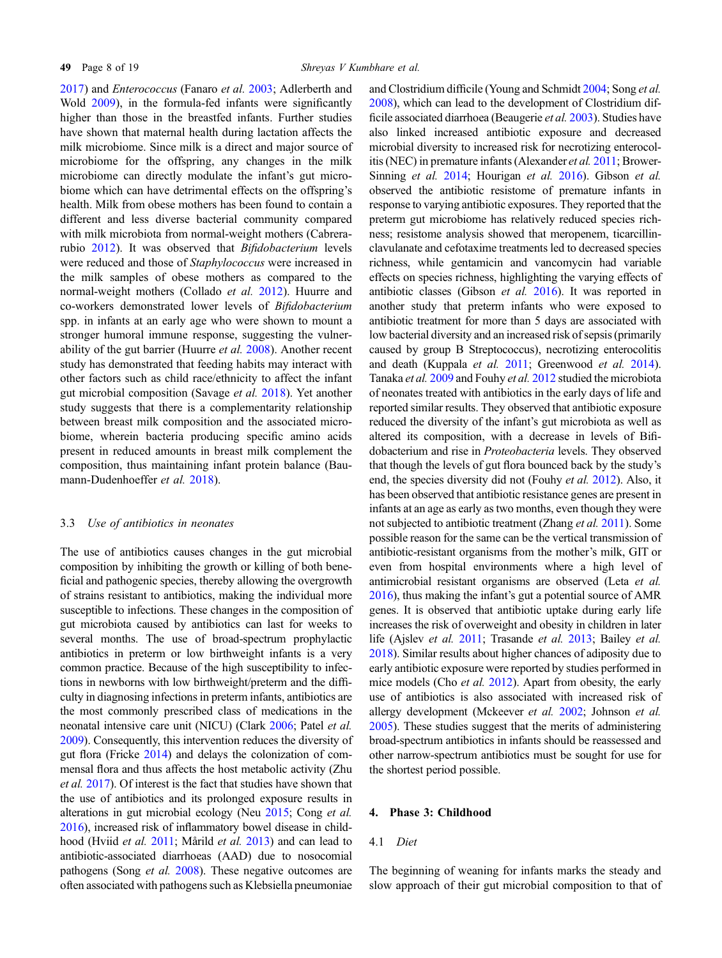[2017\)](#page-17-0) and Enterococcus (Fanaro et al. [2003](#page-12-0); Adlerberth and Wold [2009\)](#page-10-0), in the formula-fed infants were significantly higher than those in the breastfed infants. Further studies have shown that maternal health during lactation affects the milk microbiome. Since milk is a direct and major source of microbiome for the offspring, any changes in the milk microbiome can directly modulate the infant's gut microbiome which can have detrimental effects on the offspring's health. Milk from obese mothers has been found to contain a different and less diverse bacterial community compared with milk microbiota from normal-weight mothers (Cabrerarubio [2012\)](#page-11-0). It was observed that Bifidobacterium levels were reduced and those of Staphylococcus were increased in the milk samples of obese mothers as compared to the normal-weight mothers (Collado et al. [2012\)](#page-12-0). Huurre and co-workers demonstrated lower levels of Bifidobacterium spp. in infants at an early age who were shown to mount a stronger humoral immune response, suggesting the vulnerability of the gut barrier (Huurre et al. [2008](#page-14-0)). Another recent study has demonstrated that feeding habits may interact with other factors such as child race/ethnicity to affect the infant gut microbial composition (Savage et al. [2018\)](#page-16-0). Yet another study suggests that there is a complementarity relationship between breast milk composition and the associated microbiome, wherein bacteria producing specific amino acids present in reduced amounts in breast milk complement the composition, thus maintaining infant protein balance (Bau-mann-Dudenhoeffer et al. [2018\)](#page-11-0).

## 3.3 Use of antibiotics in neonates

The use of antibiotics causes changes in the gut microbial composition by inhibiting the growth or killing of both beneficial and pathogenic species, thereby allowing the overgrowth of strains resistant to antibiotics, making the individual more susceptible to infections. These changes in the composition of gut microbiota caused by antibiotics can last for weeks to several months. The use of broad-spectrum prophylactic antibiotics in preterm or low birthweight infants is a very common practice. Because of the high susceptibility to infections in newborns with low birthweight/preterm and the difficulty in diagnosing infections in preterm infants, antibiotics are the most commonly prescribed class of medications in the neonatal intensive care unit (NICU) (Clark [2006](#page-12-0); Patel et al. [2009](#page-16-0)). Consequently, this intervention reduces the diversity of gut flora (Fricke [2014](#page-13-0)) and delays the colonization of commensal flora and thus affects the host metabolic activity (Zhu et al. [2017\)](#page-18-0). Of interest is the fact that studies have shown that the use of antibiotics and its prolonged exposure results in alterations in gut microbial ecology (Neu [2015;](#page-15-0) Cong et al. [2016](#page-12-0)), increased risk of inflammatory bowel disease in childhood (Hviid *et al.* [2011](#page-14-0); Mårild *et al.* [2013\)](#page-15-0) and can lead to antibiotic-associated diarrhoeas (AAD) due to nosocomial pathogens (Song et al. [2008](#page-16-0)). These negative outcomes are often associated with pathogens such as Klebsiella pneumoniae

and Clostridium difficile (Young and Schmidt [2004;](#page-18-0) Song et al. [2008](#page-16-0)), which can lead to the development of Clostridium difficile associated diarrhoea (Beaugerie et al. [2003\)](#page-11-0). Studies have also linked increased antibiotic exposure and decreased microbial diversity to increased risk for necrotizing enterocolitis (NEC) in premature infants (Alexander et al. [2011;](#page-11-0) Brower-Sinning et al. [2014;](#page-11-0) Hourigan et al. [2016\)](#page-13-0). Gibson et al. observed the antibiotic resistome of premature infants in response to varying antibiotic exposures. They reported that the preterm gut microbiome has relatively reduced species richness; resistome analysis showed that meropenem, ticarcillinclavulanate and cefotaxime treatments led to decreased species richness, while gentamicin and vancomycin had variable effects on species richness, highlighting the varying effects of antibiotic classes (Gibson et al. [2016\)](#page-13-0). It was reported in another study that preterm infants who were exposed to antibiotic treatment for more than 5 days are associated with low bacterial diversity and an increased risk of sepsis (primarily caused by group B Streptococcus), necrotizing enterocolitis and death (Kuppala et al. [2011](#page-14-0); Greenwood et al. [2014](#page-13-0)). Tanaka et al. [2009](#page-17-0) and Fouhy et al. [2012](#page-12-0) studied the microbiota of neonates treated with antibiotics in the early days of life and reported similar results. They observed that antibiotic exposure reduced the diversity of the infant's gut microbiota as well as altered its composition, with a decrease in levels of Bifidobacterium and rise in Proteobacteria levels. They observed that though the levels of gut flora bounced back by the study's end, the species diversity did not (Fouhy et al. [2012\)](#page-12-0). Also, it has been observed that antibiotic resistance genes are present in infants at an age as early as two months, even though they were not subjected to antibiotic treatment (Zhang et al. [2011\)](#page-18-0). Some possible reason for the same can be the vertical transmission of antibiotic-resistant organisms from the mother's milk, GIT or even from hospital environments where a high level of antimicrobial resistant organisms are observed (Leta et al. [2016](#page-14-0)), thus making the infant's gut a potential source of AMR genes. It is observed that antibiotic uptake during early life increases the risk of overweight and obesity in children in later life (Ajslev et al. [2011](#page-10-0); Trasande et al. [2013;](#page-17-0) Bailey et al. [2018](#page-11-0)). Similar results about higher chances of adiposity due to early antibiotic exposure were reported by studies performed in mice models (Cho *et al.* [2012\)](#page-11-0). Apart from obesity, the early use of antibiotics is also associated with increased risk of allergy development (Mckeever et al. [2002](#page-15-0); Johnson et al. [2005](#page-14-0)). These studies suggest that the merits of administering broad-spectrum antibiotics in infants should be reassessed and other narrow-spectrum antibiotics must be sought for use for the shortest period possible.

# 4. Phase 3: Childhood

#### 4.1 Diet

The beginning of weaning for infants marks the steady and slow approach of their gut microbial composition to that of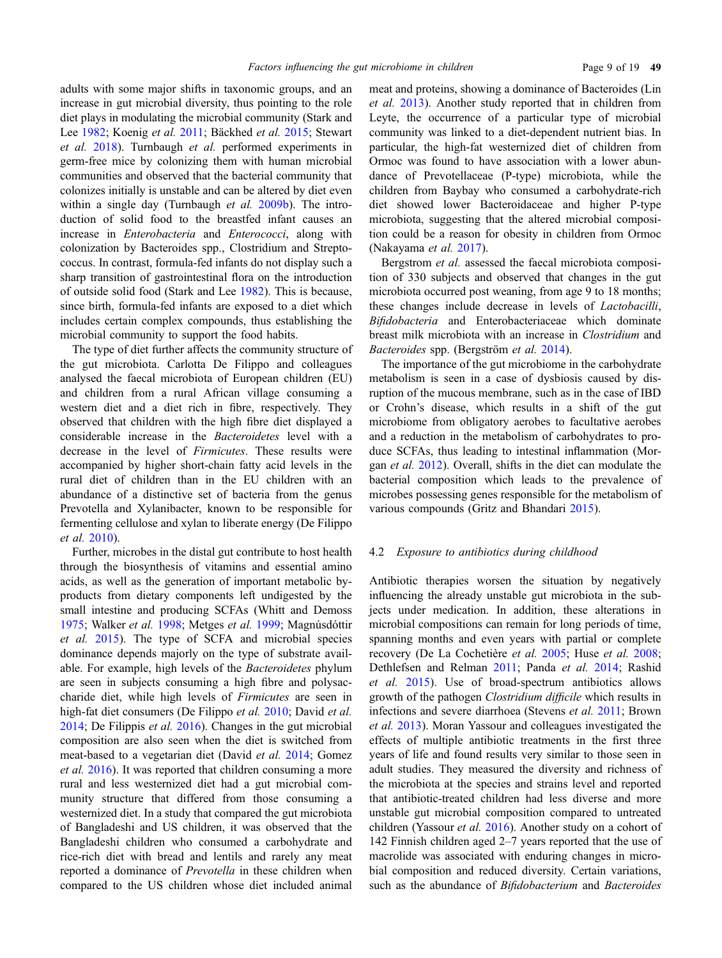adults with some major shifts in taxonomic groups, and an increase in gut microbial diversity, thus pointing to the role diet plays in modulating the microbial community (Stark and Lee [1982](#page-17-0); Koenig et al. [2011](#page-14-0); Bäckhed et al. [2015;](#page-11-0) Stewart et al. [2018\)](#page-17-0). Turnbaugh et al. performed experiments in germ-free mice by colonizing them with human microbial communities and observed that the bacterial community that colonizes initially is unstable and can be altered by diet even within a single day (Turnbaugh et al. [2009b](#page-17-0)). The introduction of solid food to the breastfed infant causes an increase in Enterobacteria and Enterococci, along with colonization by Bacteroides spp., Clostridium and Streptococcus. In contrast, formula-fed infants do not display such a sharp transition of gastrointestinal flora on the introduction of outside solid food (Stark and Lee [1982\)](#page-17-0). This is because, since birth, formula-fed infants are exposed to a diet which includes certain complex compounds, thus establishing the microbial community to support the food habits.

The type of diet further affects the community structure of the gut microbiota. Carlotta De Filippo and colleagues analysed the faecal microbiota of European children (EU) and children from a rural African village consuming a western diet and a diet rich in fibre, respectively. They observed that children with the high fibre diet displayed a considerable increase in the Bacteroidetes level with a decrease in the level of Firmicutes. These results were accompanied by higher short-chain fatty acid levels in the rural diet of children than in the EU children with an abundance of a distinctive set of bacteria from the genus Prevotella and Xylanibacter, known to be responsible for fermenting cellulose and xylan to liberate energy (De Filippo et al. [2010](#page-12-0)).

Further, microbes in the distal gut contribute to host health through the biosynthesis of vitamins and essential amino acids, as well as the generation of important metabolic byproducts from dietary components left undigested by the small intestine and producing SCFAs (Whitt and Demoss [1975;](#page-17-0) Walker et al. [1998;](#page-17-0) Metges et al. [1999](#page-15-0); Magnúsdóttir et al. [2015\)](#page-15-0). The type of SCFA and microbial species dominance depends majorly on the type of substrate available. For example, high levels of the Bacteroidetes phylum are seen in subjects consuming a high fibre and polysaccharide diet, while high levels of Firmicutes are seen in high-fat diet consumers (De Filippo *et al.* [2010](#page-12-0); David *et al.* [2014;](#page-12-0) De Filippis et al. [2016\)](#page-12-0). Changes in the gut microbial composition are also seen when the diet is switched from meat-based to a vegetarian diet (David et al. [2014;](#page-12-0) Gomez et al. [2016\)](#page-13-0). It was reported that children consuming a more rural and less westernized diet had a gut microbial community structure that differed from those consuming a westernized diet. In a study that compared the gut microbiota of Bangladeshi and US children, it was observed that the Bangladeshi children who consumed a carbohydrate and rice-rich diet with bread and lentils and rarely any meat reported a dominance of Prevotella in these children when compared to the US children whose diet included animal meat and proteins, showing a dominance of Bacteroides (Lin et al. [2013](#page-14-0)). Another study reported that in children from Leyte, the occurrence of a particular type of microbial community was linked to a diet-dependent nutrient bias. In particular, the high-fat westernized diet of children from Ormoc was found to have association with a lower abundance of Prevotellaceae (P-type) microbiota, while the children from Baybay who consumed a carbohydrate-rich diet showed lower Bacteroidaceae and higher P-type microbiota, suggesting that the altered microbial composition could be a reason for obesity in children from Ormoc (Nakayama et al. [2017](#page-15-0)).

Bergstrom et al. assessed the faecal microbiota composition of 330 subjects and observed that changes in the gut microbiota occurred post weaning, from age 9 to 18 months; these changes include decrease in levels of Lactobacilli, Bifidobacteria and Enterobacteriaceae which dominate breast milk microbiota with an increase in Clostridium and Bacteroides spp. (Bergström et al. [2014\)](#page-11-0).

The importance of the gut microbiome in the carbohydrate metabolism is seen in a case of dysbiosis caused by disruption of the mucous membrane, such as in the case of IBD or Crohn's disease, which results in a shift of the gut microbiome from obligatory aerobes to facultative aerobes and a reduction in the metabolism of carbohydrates to produce SCFAs, thus leading to intestinal inflammation (Morgan et al. [2012](#page-15-0)). Overall, shifts in the diet can modulate the bacterial composition which leads to the prevalence of microbes possessing genes responsible for the metabolism of various compounds (Gritz and Bhandari [2015](#page-13-0)).

#### 4.2 Exposure to antibiotics during childhood

Antibiotic therapies worsen the situation by negatively influencing the already unstable gut microbiota in the subjects under medication. In addition, these alterations in microbial compositions can remain for long periods of time, spanning months and even years with partial or complete recovery (De La Cochetière et al. [2005](#page-12-0); Huse et al. [2008;](#page-13-0) Dethlefsen and Relman [2011;](#page-12-0) Panda et al. [2014;](#page-16-0) Rashid et al. [2015\)](#page-16-0). Use of broad-spectrum antibiotics allows growth of the pathogen Clostridium difficile which results in infections and severe diarrhoea (Stevens et al. [2011;](#page-17-0) Brown et al. [2013](#page-11-0)). Moran Yassour and colleagues investigated the effects of multiple antibiotic treatments in the first three years of life and found results very similar to those seen in adult studies. They measured the diversity and richness of the microbiota at the species and strains level and reported that antibiotic-treated children had less diverse and more unstable gut microbial composition compared to untreated children (Yassour et al. [2016](#page-17-0)). Another study on a cohort of 142 Finnish children aged 2–7 years reported that the use of macrolide was associated with enduring changes in microbial composition and reduced diversity. Certain variations, such as the abundance of Bifidobacterium and Bacteroides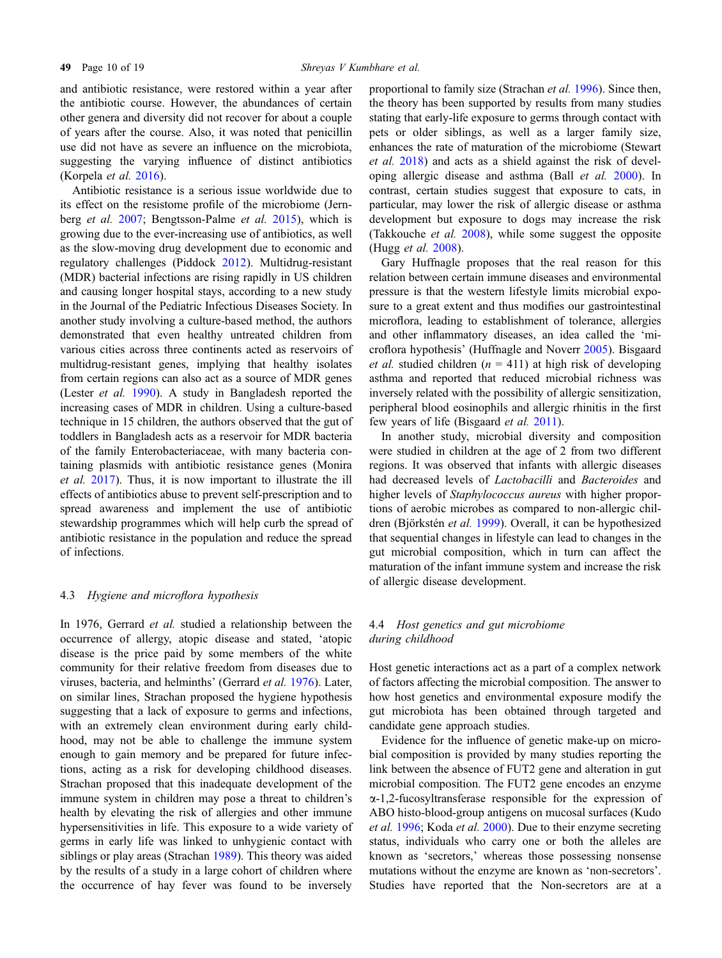and antibiotic resistance, were restored within a year after the antibiotic course. However, the abundances of certain other genera and diversity did not recover for about a couple of years after the course. Also, it was noted that penicillin use did not have as severe an influence on the microbiota, suggesting the varying influence of distinct antibiotics (Korpela et al. [2016\)](#page-14-0).

Antibiotic resistance is a serious issue worldwide due to its effect on the resistome profile of the microbiome (Jernberg et al. [2007;](#page-14-0) Bengtsson-Palme et al. [2015](#page-11-0)), which is growing due to the ever-increasing use of antibiotics, as well as the slow-moving drug development due to economic and regulatory challenges (Piddock [2012](#page-16-0)). Multidrug-resistant (MDR) bacterial infections are rising rapidly in US children and causing longer hospital stays, according to a new study in the Journal of the Pediatric Infectious Diseases Society. In another study involving a culture-based method, the authors demonstrated that even healthy untreated children from various cities across three continents acted as reservoirs of multidrug-resistant genes, implying that healthy isolates from certain regions can also act as a source of MDR genes (Lester et al. [1990\)](#page-14-0). A study in Bangladesh reported the increasing cases of MDR in children. Using a culture-based technique in 15 children, the authors observed that the gut of toddlers in Bangladesh acts as a reservoir for MDR bacteria of the family Enterobacteriaceae, with many bacteria containing plasmids with antibiotic resistance genes (Monira et al. [2017](#page-15-0)). Thus, it is now important to illustrate the ill effects of antibiotics abuse to prevent self-prescription and to spread awareness and implement the use of antibiotic stewardship programmes which will help curb the spread of antibiotic resistance in the population and reduce the spread of infections.

#### 4.3 Hygiene and microflora hypothesis

In 1976, Gerrard *et al.* studied a relationship between the occurrence of allergy, atopic disease and stated, 'atopic disease is the price paid by some members of the white community for their relative freedom from diseases due to viruses, bacteria, and helminths' (Gerrard et al. [1976](#page-13-0)). Later, on similar lines, Strachan proposed the hygiene hypothesis suggesting that a lack of exposure to germs and infections, with an extremely clean environment during early childhood, may not be able to challenge the immune system enough to gain memory and be prepared for future infections, acting as a risk for developing childhood diseases. Strachan proposed that this inadequate development of the immune system in children may pose a threat to children's health by elevating the risk of allergies and other immune hypersensitivities in life. This exposure to a wide variety of germs in early life was linked to unhygienic contact with siblings or play areas (Strachan [1989\)](#page-17-0). This theory was aided by the results of a study in a large cohort of children where the occurrence of hay fever was found to be inversely

proportional to family size (Strachan et al. [1996\)](#page-17-0). Since then, the theory has been supported by results from many studies stating that early-life exposure to germs through contact with pets or older siblings, as well as a larger family size, enhances the rate of maturation of the microbiome (Stewart et al. [2018\)](#page-17-0) and acts as a shield against the risk of developing allergic disease and asthma (Ball et al. [2000](#page-11-0)). In contrast, certain studies suggest that exposure to cats, in particular, may lower the risk of allergic disease or asthma development but exposure to dogs may increase the risk (Takkouche et al. [2008](#page-17-0)), while some suggest the opposite (Hugg et al. [2008](#page-13-0)).

Gary Huffnagle proposes that the real reason for this relation between certain immune diseases and environmental pressure is that the western lifestyle limits microbial exposure to a great extent and thus modifies our gastrointestinal microflora, leading to establishment of tolerance, allergies and other inflammatory diseases, an idea called the 'microflora hypothesis' (Huffnagle and Noverr [2005\)](#page-13-0). Bisgaard *et al.* studied children ( $n = 411$ ) at high risk of developing asthma and reported that reduced microbial richness was inversely related with the possibility of allergic sensitization, peripheral blood eosinophils and allergic rhinitis in the first few years of life (Bisgaard et al. [2011](#page-11-0)).

In another study, microbial diversity and composition were studied in children at the age of 2 from two different regions. It was observed that infants with allergic diseases had decreased levels of Lactobacilli and Bacteroides and higher levels of *Staphylococcus aureus* with higher proportions of aerobic microbes as compared to non-allergic chil-dren (Björkstén et al. [1999\)](#page-11-0). Overall, it can be hypothesized that sequential changes in lifestyle can lead to changes in the gut microbial composition, which in turn can affect the maturation of the infant immune system and increase the risk of allergic disease development.

# 4.4 Host genetics and gut microbiome during childhood

Host genetic interactions act as a part of a complex network of factors affecting the microbial composition. The answer to how host genetics and environmental exposure modify the gut microbiota has been obtained through targeted and candidate gene approach studies.

Evidence for the influence of genetic make-up on microbial composition is provided by many studies reporting the link between the absence of FUT2 gene and alteration in gut microbial composition. The FUT2 gene encodes an enzyme a-1,2-fucosyltransferase responsible for the expression of ABO histo-blood-group antigens on mucosal surfaces (Kudo et al. [1996](#page-14-0); Koda et al. [2000\)](#page-14-0). Due to their enzyme secreting status, individuals who carry one or both the alleles are known as 'secretors,' whereas those possessing nonsense mutations without the enzyme are known as 'non-secretors'. Studies have reported that the Non-secretors are at a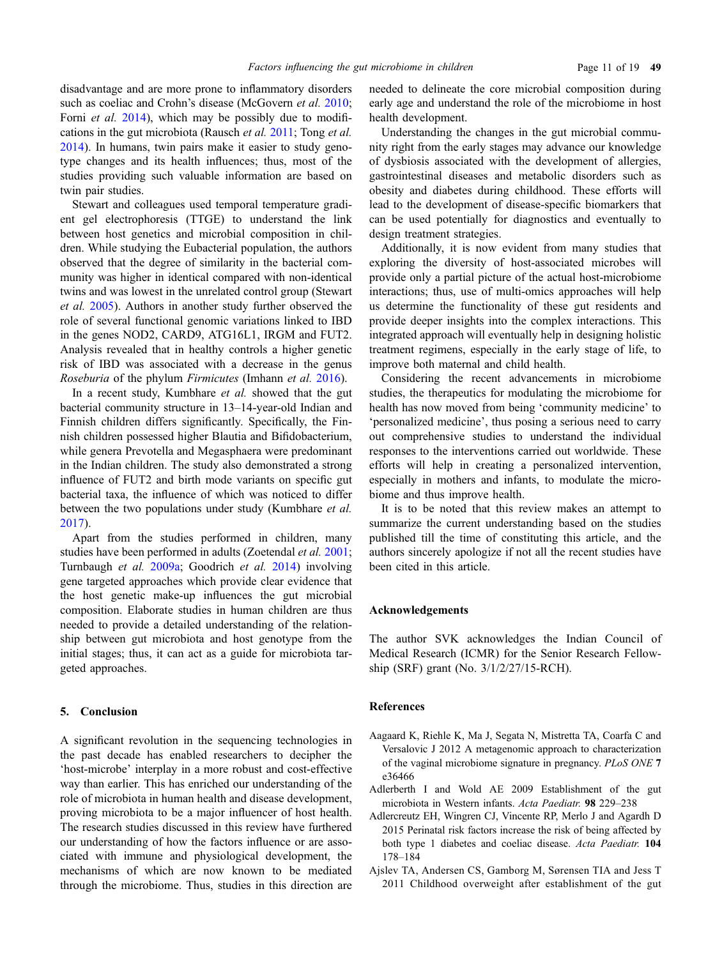<span id="page-10-0"></span>disadvantage and are more prone to inflammatory disorders such as coeliac and Crohn's disease (McGovern et al. [2010;](#page-15-0) Forni *et al.* [2014\)](#page-12-0), which may be possibly due to modifications in the gut microbiota (Rausch et al. [2011;](#page-16-0) Tong et al. [2014\)](#page-17-0). In humans, twin pairs make it easier to study genotype changes and its health influences; thus, most of the studies providing such valuable information are based on twin pair studies.

Stewart and colleagues used temporal temperature gradient gel electrophoresis (TTGE) to understand the link between host genetics and microbial composition in children. While studying the Eubacterial population, the authors observed that the degree of similarity in the bacterial community was higher in identical compared with non-identical twins and was lowest in the unrelated control group (Stewart et al. [2005](#page-17-0)). Authors in another study further observed the role of several functional genomic variations linked to IBD in the genes NOD2, CARD9, ATG16L1, IRGM and FUT2. Analysis revealed that in healthy controls a higher genetic risk of IBD was associated with a decrease in the genus Roseburia of the phylum Firmicutes (Imhann et al. [2016](#page-14-0)).

In a recent study, Kumbhare *et al.* showed that the gut bacterial community structure in 13–14-year-old Indian and Finnish children differs significantly. Specifically, the Finnish children possessed higher Blautia and Bifidobacterium, while genera Prevotella and Megasphaera were predominant in the Indian children. The study also demonstrated a strong influence of FUT2 and birth mode variants on specific gut bacterial taxa, the influence of which was noticed to differ between the two populations under study (Kumbhare et al. [2017\)](#page-14-0).

Apart from the studies performed in children, many studies have been performed in adults (Zoetendal et al. [2001;](#page-18-0) Turnbaugh et al. [2009a](#page-17-0); Goodrich et al. [2014\)](#page-13-0) involving gene targeted approaches which provide clear evidence that the host genetic make-up influences the gut microbial composition. Elaborate studies in human children are thus needed to provide a detailed understanding of the relationship between gut microbiota and host genotype from the initial stages; thus, it can act as a guide for microbiota targeted approaches.

## 5. Conclusion

A significant revolution in the sequencing technologies in the past decade has enabled researchers to decipher the 'host-microbe' interplay in a more robust and cost-effective way than earlier. This has enriched our understanding of the role of microbiota in human health and disease development, proving microbiota to be a major influencer of host health. The research studies discussed in this review have furthered our understanding of how the factors influence or are associated with immune and physiological development, the mechanisms of which are now known to be mediated through the microbiome. Thus, studies in this direction are

needed to delineate the core microbial composition during early age and understand the role of the microbiome in host health development.

Understanding the changes in the gut microbial community right from the early stages may advance our knowledge of dysbiosis associated with the development of allergies, gastrointestinal diseases and metabolic disorders such as obesity and diabetes during childhood. These efforts will lead to the development of disease-specific biomarkers that can be used potentially for diagnostics and eventually to design treatment strategies.

Additionally, it is now evident from many studies that exploring the diversity of host-associated microbes will provide only a partial picture of the actual host-microbiome interactions; thus, use of multi-omics approaches will help us determine the functionality of these gut residents and provide deeper insights into the complex interactions. This integrated approach will eventually help in designing holistic treatment regimens, especially in the early stage of life, to improve both maternal and child health.

Considering the recent advancements in microbiome studies, the therapeutics for modulating the microbiome for health has now moved from being 'community medicine' to 'personalized medicine', thus posing a serious need to carry out comprehensive studies to understand the individual responses to the interventions carried out worldwide. These efforts will help in creating a personalized intervention, especially in mothers and infants, to modulate the microbiome and thus improve health.

It is to be noted that this review makes an attempt to summarize the current understanding based on the studies published till the time of constituting this article, and the authors sincerely apologize if not all the recent studies have been cited in this article.

# Acknowledgements

The author SVK acknowledges the Indian Council of Medical Research (ICMR) for the Senior Research Fellowship (SRF) grant (No. 3/1/2/27/15-RCH).

# References

- Aagaard K, Riehle K, Ma J, Segata N, Mistretta TA, Coarfa C and Versalovic J 2012 A metagenomic approach to characterization of the vaginal microbiome signature in pregnancy. PLoS ONE 7 e36466
- Adlerberth I and Wold AE 2009 Establishment of the gut microbiota in Western infants. Acta Paediatr. 98 229–238
- Adlercreutz EH, Wingren CJ, Vincente RP, Merlo J and Agardh D 2015 Perinatal risk factors increase the risk of being affected by both type 1 diabetes and coeliac disease. Acta Paediatr. 104 178–184
- Ajslev TA, Andersen CS, Gamborg M, Sørensen TIA and Jess T 2011 Childhood overweight after establishment of the gut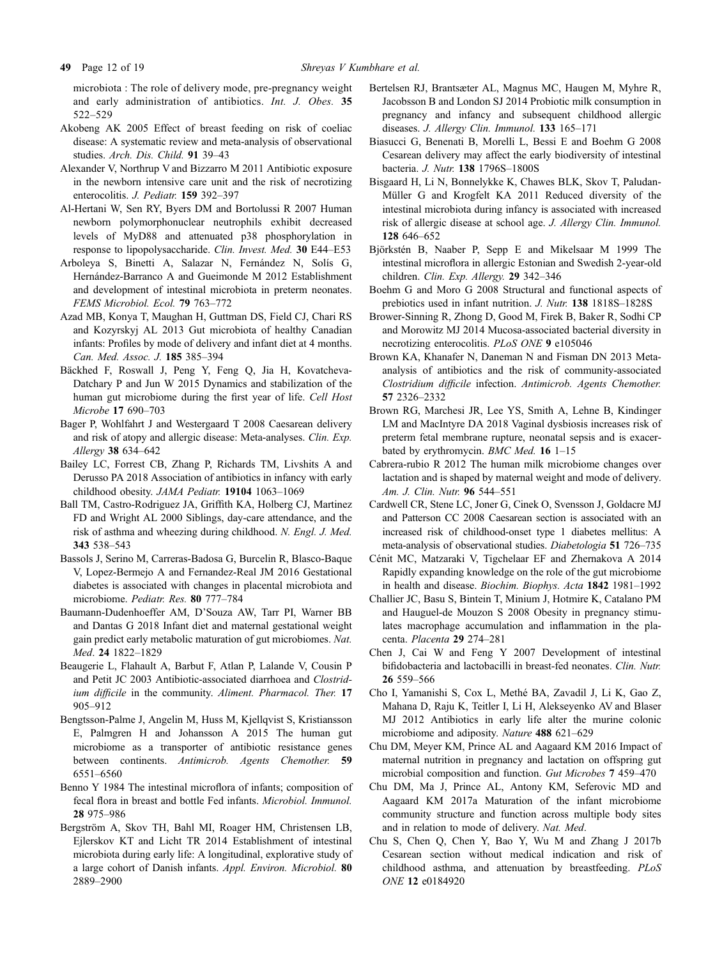<span id="page-11-0"></span>microbiota : The role of delivery mode, pre-pregnancy weight and early administration of antibiotics. Int. J. Obes. 35 522–529

- Akobeng AK 2005 Effect of breast feeding on risk of coeliac disease: A systematic review and meta-analysis of observational studies. Arch. Dis. Child. 91 39–43
- Alexander V, Northrup V and Bizzarro M 2011 Antibiotic exposure in the newborn intensive care unit and the risk of necrotizing enterocolitis. J. Pediatr. 159 392–397
- Al-Hertani W, Sen RY, Byers DM and Bortolussi R 2007 Human newborn polymorphonuclear neutrophils exhibit decreased levels of MyD88 and attenuated p38 phosphorylation in response to lipopolysaccharide. Clin. Invest. Med. 30 E44–E53
- Arboleya S, Binetti A, Salazar N, Fernández N, Solís G, Hernández-Barranco A and Gueimonde M 2012 Establishment and development of intestinal microbiota in preterm neonates. FEMS Microbiol. Ecol. 79 763–772
- Azad MB, Konya T, Maughan H, Guttman DS, Field CJ, Chari RS and Kozyrskyj AL 2013 Gut microbiota of healthy Canadian infants: Profiles by mode of delivery and infant diet at 4 months. Can. Med. Assoc. J. 185 385–394
- Bäckhed F, Roswall J, Peng Y, Feng Q, Jia H, Kovatcheva-Datchary P and Jun W 2015 Dynamics and stabilization of the human gut microbiome during the first year of life. Cell Host Microbe 17 690–703
- Bager P, Wohlfahrt J and Westergaard T 2008 Caesarean delivery and risk of atopy and allergic disease: Meta-analyses. Clin. Exp. Allergy 38 634–642
- Bailey LC, Forrest CB, Zhang P, Richards TM, Livshits A and Derusso PA 2018 Association of antibiotics in infancy with early childhood obesity. JAMA Pediatr. 19104 1063–1069
- Ball TM, Castro-Rodriguez JA, Griffith KA, Holberg CJ, Martinez FD and Wright AL 2000 Siblings, day-care attendance, and the risk of asthma and wheezing during childhood. N. Engl. J. Med. 343 538–543
- Bassols J, Serino M, Carreras-Badosa G, Burcelin R, Blasco-Baque V, Lopez-Bermejo A and Fernandez-Real JM 2016 Gestational diabetes is associated with changes in placental microbiota and microbiome. Pediatr. Res. 80 777–784
- Baumann-Dudenhoeffer AM, D'Souza AW, Tarr PI, Warner BB and Dantas G 2018 Infant diet and maternal gestational weight gain predict early metabolic maturation of gut microbiomes. Nat. Med. 24 1822–1829
- Beaugerie L, Flahault A, Barbut F, Atlan P, Lalande V, Cousin P and Petit JC 2003 Antibiotic-associated diarrhoea and Clostridium difficile in the community. Aliment. Pharmacol. Ther. 17 905–912
- Bengtsson-Palme J, Angelin M, Huss M, Kjellqvist S, Kristiansson E, Palmgren H and Johansson A 2015 The human gut microbiome as a transporter of antibiotic resistance genes between continents. Antimicrob. Agents Chemother. 59 6551–6560
- Benno Y 1984 The intestinal microflora of infants; composition of fecal flora in breast and bottle Fed infants. Microbiol. Immunol. 28 975–986
- Bergström A, Skov TH, Bahl MI, Roager HM, Christensen LB, Ejlerskov KT and Licht TR 2014 Establishment of intestinal microbiota during early life: A longitudinal, explorative study of a large cohort of Danish infants. Appl. Environ. Microbiol. 80 2889–2900
- Bertelsen RJ, Brantsæter AL, Magnus MC, Haugen M, Myhre R, Jacobsson B and London SJ 2014 Probiotic milk consumption in pregnancy and infancy and subsequent childhood allergic diseases. J. Allergy Clin. Immunol. 133 165–171
- Biasucci G, Benenati B, Morelli L, Bessi E and Boehm G 2008 Cesarean delivery may affect the early biodiversity of intestinal bacteria. J. Nutr. 138 1796S–1800S
- Bisgaard H, Li N, Bonnelykke K, Chawes BLK, Skov T, Paludan-Müller G and Krogfelt KA 2011 Reduced diversity of the intestinal microbiota during infancy is associated with increased risk of allergic disease at school age. J. Allergy Clin. Immunol. 128 646–652
- Björkstén B, Naaber P, Sepp E and Mikelsaar M 1999 The intestinal microflora in allergic Estonian and Swedish 2-year-old children. Clin. Exp. Allergy. 29 342–346
- Boehm G and Moro G 2008 Structural and functional aspects of prebiotics used in infant nutrition. J. Nutr. 138 1818S–1828S
- Brower-Sinning R, Zhong D, Good M, Firek B, Baker R, Sodhi CP and Morowitz MJ 2014 Mucosa-associated bacterial diversity in necrotizing enterocolitis. PLoS ONE 9 e105046
- Brown KA, Khanafer N, Daneman N and Fisman DN 2013 Metaanalysis of antibiotics and the risk of community-associated Clostridium difficile infection. Antimicrob. Agents Chemother. 57 2326–2332
- Brown RG, Marchesi JR, Lee YS, Smith A, Lehne B, Kindinger LM and MacIntyre DA 2018 Vaginal dysbiosis increases risk of preterm fetal membrane rupture, neonatal sepsis and is exacerbated by erythromycin. BMC Med. 16 1-15
- Cabrera-rubio R 2012 The human milk microbiome changes over lactation and is shaped by maternal weight and mode of delivery. Am. J. Clin. Nutr. 96 544–551
- Cardwell CR, Stene LC, Joner G, Cinek O, Svensson J, Goldacre MJ and Patterson CC 2008 Caesarean section is associated with an increased risk of childhood-onset type 1 diabetes mellitus: A meta-analysis of observational studies. Diabetologia 51 726–735
- Cénit MC, Matzaraki V, Tigchelaar EF and Zhernakova A 2014 Rapidly expanding knowledge on the role of the gut microbiome in health and disease. Biochim. Biophys. Acta 1842 1981–1992
- Challier JC, Basu S, Bintein T, Minium J, Hotmire K, Catalano PM and Hauguel-de Mouzon S 2008 Obesity in pregnancy stimulates macrophage accumulation and inflammation in the placenta. Placenta 29 274–281
- Chen J, Cai W and Feng Y 2007 Development of intestinal bifidobacteria and lactobacilli in breast-fed neonates. Clin. Nutr. 26 559–566
- Cho I, Yamanishi S, Cox L, Methe´ BA, Zavadil J, Li K, Gao Z, Mahana D, Raju K, Teitler I, Li H, Alekseyenko AV and Blaser MJ 2012 Antibiotics in early life alter the murine colonic microbiome and adiposity. Nature 488 621–629
- Chu DM, Meyer KM, Prince AL and Aagaard KM 2016 Impact of maternal nutrition in pregnancy and lactation on offspring gut microbial composition and function. Gut Microbes 7 459–470
- Chu DM, Ma J, Prince AL, Antony KM, Seferovic MD and Aagaard KM 2017a Maturation of the infant microbiome community structure and function across multiple body sites and in relation to mode of delivery. Nat. Med.
- Chu S, Chen Q, Chen Y, Bao Y, Wu M and Zhang J 2017b Cesarean section without medical indication and risk of childhood asthma, and attenuation by breastfeeding. PLoS ONE 12 e0184920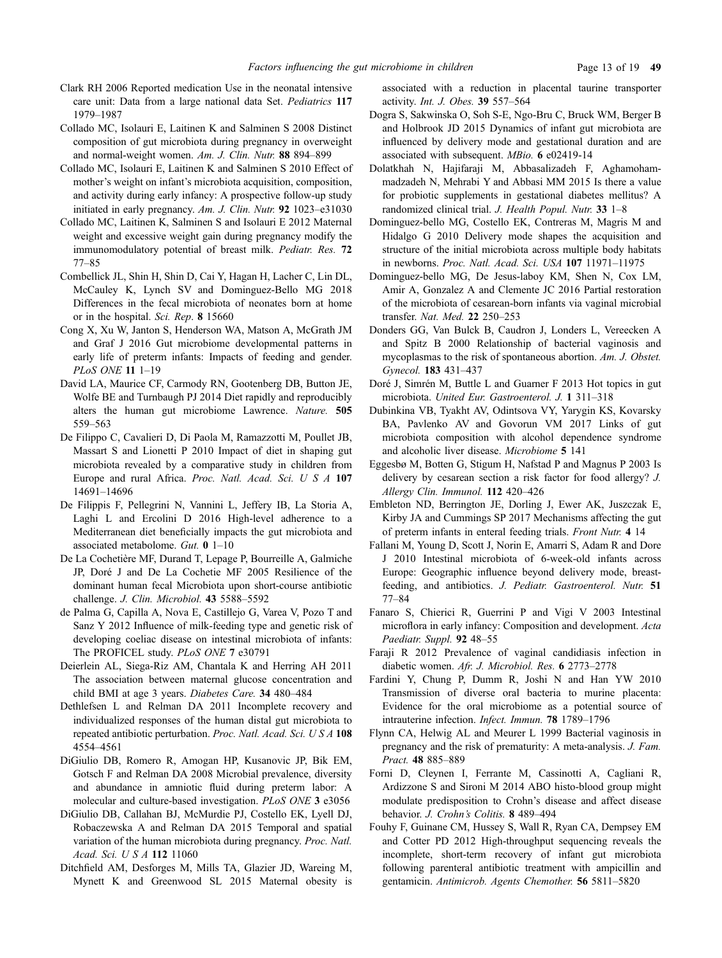- <span id="page-12-0"></span>Clark RH 2006 Reported medication Use in the neonatal intensive care unit: Data from a large national data Set. Pediatrics 117 1979–1987
- Collado MC, Isolauri E, Laitinen K and Salminen S 2008 Distinct composition of gut microbiota during pregnancy in overweight and normal-weight women. Am. J. Clin. Nutr. 88 894–899
- Collado MC, Isolauri E, Laitinen K and Salminen S 2010 Effect of mother's weight on infant's microbiota acquisition, composition, and activity during early infancy: A prospective follow-up study initiated in early pregnancy. Am. J. Clin. Nutr. 92 1023–e31030
- Collado MC, Laitinen K, Salminen S and Isolauri E 2012 Maternal weight and excessive weight gain during pregnancy modify the immunomodulatory potential of breast milk. Pediatr. Res. 72 77–85
- Combellick JL, Shin H, Shin D, Cai Y, Hagan H, Lacher C, Lin DL, McCauley K, Lynch SV and Dominguez-Bello MG 2018 Differences in the fecal microbiota of neonates born at home or in the hospital. Sci. Rep. 8 15660
- Cong X, Xu W, Janton S, Henderson WA, Matson A, McGrath JM and Graf J 2016 Gut microbiome developmental patterns in early life of preterm infants: Impacts of feeding and gender. PLoS ONE 11 1–19
- David LA, Maurice CF, Carmody RN, Gootenberg DB, Button JE, Wolfe BE and Turnbaugh PJ 2014 Diet rapidly and reproducibly alters the human gut microbiome Lawrence. Nature. 505 559–563
- De Filippo C, Cavalieri D, Di Paola M, Ramazzotti M, Poullet JB, Massart S and Lionetti P 2010 Impact of diet in shaping gut microbiota revealed by a comparative study in children from Europe and rural Africa. Proc. Natl. Acad. Sci. U S A 107 14691–14696
- De Filippis F, Pellegrini N, Vannini L, Jeffery IB, La Storia A, Laghi L and Ercolini D 2016 High-level adherence to a Mediterranean diet beneficially impacts the gut microbiota and associated metabolome. Gut. 0 1–10
- De La Cochetière MF, Durand T, Lepage P, Bourreille A, Galmiche JP, Doré J and De La Cochetie MF 2005 Resilience of the dominant human fecal Microbiota upon short-course antibiotic challenge. J. Clin. Microbiol. 43 5588–5592
- de Palma G, Capilla A, Nova E, Castillejo G, Varea V, Pozo T and Sanz Y 2012 Influence of milk-feeding type and genetic risk of developing coeliac disease on intestinal microbiota of infants: The PROFICEL study. PLoS ONE 7 e30791
- Deierlein AL, Siega-Riz AM, Chantala K and Herring AH 2011 The association between maternal glucose concentration and child BMI at age 3 years. Diabetes Care. 34 480–484
- Dethlefsen L and Relman DA 2011 Incomplete recovery and individualized responses of the human distal gut microbiota to repeated antibiotic perturbation. Proc. Natl. Acad. Sci. U S A 108 4554–4561
- DiGiulio DB, Romero R, Amogan HP, Kusanovic JP, Bik EM, Gotsch F and Relman DA 2008 Microbial prevalence, diversity and abundance in amniotic fluid during preterm labor: A molecular and culture-based investigation. PLoS ONE 3 e3056
- DiGiulio DB, Callahan BJ, McMurdie PJ, Costello EK, Lyell DJ, Robaczewska A and Relman DA 2015 Temporal and spatial variation of the human microbiota during pregnancy. Proc. Natl. Acad. Sci. U S A 112 11060
- Ditchfield AM, Desforges M, Mills TA, Glazier JD, Wareing M, Mynett K and Greenwood SL 2015 Maternal obesity is

associated with a reduction in placental taurine transporter activity. Int. J. Obes. 39 557–564

- Dogra S, Sakwinska O, Soh S-E, Ngo-Bru C, Bruck WM, Berger B and Holbrook JD 2015 Dynamics of infant gut microbiota are influenced by delivery mode and gestational duration and are associated with subsequent. MBio. 6 e02419-14
- Dolatkhah N, Hajifaraji M, Abbasalizadeh F, Aghamohammadzadeh N, Mehrabi Y and Abbasi MM 2015 Is there a value for probiotic supplements in gestational diabetes mellitus? A randomized clinical trial. J. Health Popul. Nutr. 33 1–8
- Dominguez-bello MG, Costello EK, Contreras M, Magris M and Hidalgo G 2010 Delivery mode shapes the acquisition and structure of the initial microbiota across multiple body habitats in newborns. Proc. Natl. Acad. Sci. USA 107 11971–11975
- Dominguez-bello MG, De Jesus-laboy KM, Shen N, Cox LM, Amir A, Gonzalez A and Clemente JC 2016 Partial restoration of the microbiota of cesarean-born infants via vaginal microbial transfer. Nat. Med. 22 250–253
- Donders GG, Van Bulck B, Caudron J, Londers L, Vereecken A and Spitz B 2000 Relationship of bacterial vaginosis and mycoplasmas to the risk of spontaneous abortion. Am. J. Obstet. Gynecol. 183 431–437
- Doré J, Simrén M, Buttle L and Guarner F 2013 Hot topics in gut microbiota. United Eur. Gastroenterol. J. 1 311–318
- Dubinkina VB, Tyakht AV, Odintsova VY, Yarygin KS, Kovarsky BA, Pavlenko AV and Govorun VM 2017 Links of gut microbiota composition with alcohol dependence syndrome and alcoholic liver disease. Microbiome 5 141
- Eggesbø M, Botten G, Stigum H, Nafstad P and Magnus P 2003 Is delivery by cesarean section a risk factor for food allergy? J. Allergy Clin. Immunol. 112 420–426
- Embleton ND, Berrington JE, Dorling J, Ewer AK, Juszczak E, Kirby JA and Cummings SP 2017 Mechanisms affecting the gut of preterm infants in enteral feeding trials. Front Nutr. 4 14
- Fallani M, Young D, Scott J, Norin E, Amarri S, Adam R and Dore J 2010 Intestinal microbiota of 6-week-old infants across Europe: Geographic influence beyond delivery mode, breastfeeding, and antibiotics. J. Pediatr. Gastroenterol. Nutr. 51 77–84
- Fanaro S, Chierici R, Guerrini P and Vigi V 2003 Intestinal microflora in early infancy: Composition and development. Acta Paediatr. Suppl. 92 48–55
- Faraji R 2012 Prevalence of vaginal candidiasis infection in diabetic women. Afr. J. Microbiol. Res. 6 2773–2778
- Fardini Y, Chung P, Dumm R, Joshi N and Han YW 2010 Transmission of diverse oral bacteria to murine placenta: Evidence for the oral microbiome as a potential source of intrauterine infection. Infect. Immun. 78 1789–1796
- Flynn CA, Helwig AL and Meurer L 1999 Bacterial vaginosis in pregnancy and the risk of prematurity: A meta-analysis. J. Fam. Pract. 48 885–889
- Forni D, Cleynen I, Ferrante M, Cassinotti A, Cagliani R, Ardizzone S and Sironi M 2014 ABO histo-blood group might modulate predisposition to Crohn's disease and affect disease behavior. J. Crohn's Colitis. 8 489–494
- Fouhy F, Guinane CM, Hussey S, Wall R, Ryan CA, Dempsey EM and Cotter PD 2012 High-throughput sequencing reveals the incomplete, short-term recovery of infant gut microbiota following parenteral antibiotic treatment with ampicillin and gentamicin. Antimicrob. Agents Chemother. 56 5811–5820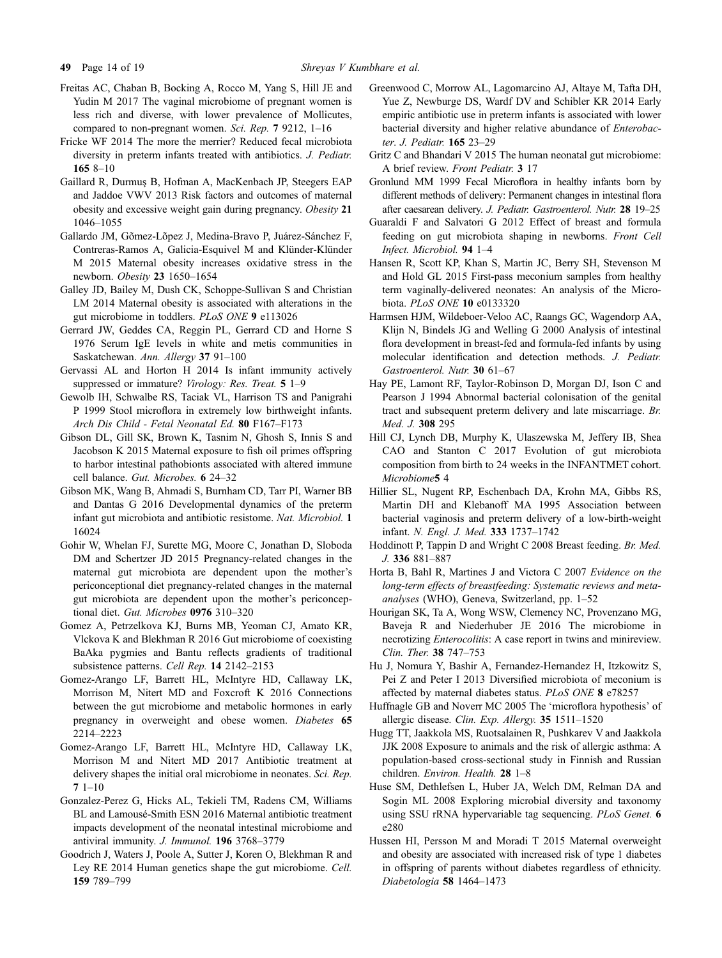- <span id="page-13-0"></span>Freitas AC, Chaban B, Bocking A, Rocco M, Yang S, Hill JE and Yudin M 2017 The vaginal microbiome of pregnant women is less rich and diverse, with lower prevalence of Mollicutes, compared to non-pregnant women. Sci. Rep. 7 9212, 1–16
- Fricke WF 2014 The more the merrier? Reduced fecal microbiota diversity in preterm infants treated with antibiotics. J. Pediatr. 165 8–10
- Gaillard R, Durmus B, Hofman A, MacKenbach JP, Steegers EAP and Jaddoe VWV 2013 Risk factors and outcomes of maternal obesity and excessive weight gain during pregnancy. Obesity 21 1046–1055
- Gallardo JM, Gõmez-Lõpez J, Medina-Bravo P, Juárez-Sánchez F, Contreras-Ramos A, Galicia-Esquivel M and Klünder-Klünder M 2015 Maternal obesity increases oxidative stress in the newborn. Obesity 23 1650–1654
- Galley JD, Bailey M, Dush CK, Schoppe-Sullivan S and Christian LM 2014 Maternal obesity is associated with alterations in the gut microbiome in toddlers. PLoS ONE 9 e113026
- Gerrard JW, Geddes CA, Reggin PL, Gerrard CD and Horne S 1976 Serum IgE levels in white and metis communities in Saskatchewan. Ann. Allergy 37 91–100
- Gervassi AL and Horton H 2014 Is infant immunity actively suppressed or immature? Virology: Res. Treat. 5 1-9
- Gewolb IH, Schwalbe RS, Taciak VL, Harrison TS and Panigrahi P 1999 Stool microflora in extremely low birthweight infants. Arch Dis Child - Fetal Neonatal Ed. 80 F167–F173
- Gibson DL, Gill SK, Brown K, Tasnim N, Ghosh S, Innis S and Jacobson K 2015 Maternal exposure to fish oil primes offspring to harbor intestinal pathobionts associated with altered immune cell balance. Gut. Microbes. 6 24–32
- Gibson MK, Wang B, Ahmadi S, Burnham CD, Tarr PI, Warner BB and Dantas G 2016 Developmental dynamics of the preterm infant gut microbiota and antibiotic resistome. Nat. Microbiol. 1 16024
- Gohir W, Whelan FJ, Surette MG, Moore C, Jonathan D, Sloboda DM and Schertzer JD 2015 Pregnancy-related changes in the maternal gut microbiota are dependent upon the mother's periconceptional diet pregnancy-related changes in the maternal gut microbiota are dependent upon the mother's periconceptional diet. Gut. Microbes 0976 310–320
- Gomez A, Petrzelkova KJ, Burns MB, Yeoman CJ, Amato KR, Vlckova K and Blekhman R 2016 Gut microbiome of coexisting BaAka pygmies and Bantu reflects gradients of traditional subsistence patterns. Cell Rep. 14 2142–2153
- Gomez-Arango LF, Barrett HL, McIntyre HD, Callaway LK, Morrison M, Nitert MD and Foxcroft K 2016 Connections between the gut microbiome and metabolic hormones in early pregnancy in overweight and obese women. Diabetes 65 2214–2223
- Gomez-Arango LF, Barrett HL, McIntyre HD, Callaway LK, Morrison M and Nitert MD 2017 Antibiotic treatment at delivery shapes the initial oral microbiome in neonates. Sci. Rep. 7 1–10
- Gonzalez-Perez G, Hicks AL, Tekieli TM, Radens CM, Williams BL and Lamousé-Smith ESN 2016 Maternal antibiotic treatment impacts development of the neonatal intestinal microbiome and antiviral immunity. J. Immunol. 196 3768–3779
- Goodrich J, Waters J, Poole A, Sutter J, Koren O, Blekhman R and Ley RE 2014 Human genetics shape the gut microbiome. Cell. 159 789–799
- Greenwood C, Morrow AL, Lagomarcino AJ, Altaye M, Tafta DH, Yue Z, Newburge DS, Wardf DV and Schibler KR 2014 Early empiric antibiotic use in preterm infants is associated with lower bacterial diversity and higher relative abundance of Enterobacter. J. Pediatr. 165 23–29
- Gritz C and Bhandari V 2015 The human neonatal gut microbiome: A brief review. Front Pediatr. 3 17
- Gronlund MM 1999 Fecal Microflora in healthy infants born by different methods of delivery: Permanent changes in intestinal flora after caesarean delivery. J. Pediatr. Gastroenterol. Nutr. 28 19–25
- Guaraldi F and Salvatori G 2012 Effect of breast and formula feeding on gut microbiota shaping in newborns. Front Cell Infect. Microbiol. 94 1–4
- Hansen R, Scott KP, Khan S, Martin JC, Berry SH, Stevenson M and Hold GL 2015 First-pass meconium samples from healthy term vaginally-delivered neonates: An analysis of the Microbiota. PLoS ONE 10 e0133320
- Harmsen HJM, Wildeboer-Veloo AC, Raangs GC, Wagendorp AA, Klijn N, Bindels JG and Welling G 2000 Analysis of intestinal flora development in breast-fed and formula-fed infants by using molecular identification and detection methods. J. Pediatr. Gastroenterol. Nutr. 30 61–67
- Hay PE, Lamont RF, Taylor-Robinson D, Morgan DJ, Ison C and Pearson J 1994 Abnormal bacterial colonisation of the genital tract and subsequent preterm delivery and late miscarriage. Br. Med. J. 308 295
- Hill CJ, Lynch DB, Murphy K, Ulaszewska M, Jeffery IB, Shea CAO and Stanton C 2017 Evolution of gut microbiota composition from birth to 24 weeks in the INFANTMET cohort. Microbiome5 4
- Hillier SL, Nugent RP, Eschenbach DA, Krohn MA, Gibbs RS, Martin DH and Klebanoff MA 1995 Association between bacterial vaginosis and preterm delivery of a low-birth-weight infant. N. Engl. J. Med. 333 1737–1742
- Hoddinott P, Tappin D and Wright C 2008 Breast feeding. Br. Med. J. 336 881–887
- Horta B, Bahl R, Martines J and Victora C 2007 Evidence on the long-term effects of breastfeeding: Systematic reviews and metaanalyses (WHO), Geneva, Switzerland, pp. 1–52
- Hourigan SK, Ta A, Wong WSW, Clemency NC, Provenzano MG, Baveja R and Niederhuber JE 2016 The microbiome in necrotizing Enterocolitis: A case report in twins and minireview. Clin. Ther. 38 747–753
- Hu J, Nomura Y, Bashir A, Fernandez-Hernandez H, Itzkowitz S, Pei Z and Peter I 2013 Diversified microbiota of meconium is affected by maternal diabetes status. PLoS ONE 8 e78257
- Huffnagle GB and Noverr MC 2005 The 'microflora hypothesis' of allergic disease. Clin. Exp. Allergy. 35 1511–1520
- Hugg TT, Jaakkola MS, Ruotsalainen R, Pushkarev V and Jaakkola JJK 2008 Exposure to animals and the risk of allergic asthma: A population-based cross-sectional study in Finnish and Russian children. Environ. Health. 28 1–8
- Huse SM, Dethlefsen L, Huber JA, Welch DM, Relman DA and Sogin ML 2008 Exploring microbial diversity and taxonomy using SSU rRNA hypervariable tag sequencing. PLoS Genet. 6 e280
- Hussen HI, Persson M and Moradi T 2015 Maternal overweight and obesity are associated with increased risk of type 1 diabetes in offspring of parents without diabetes regardless of ethnicity. Diabetologia 58 1464–1473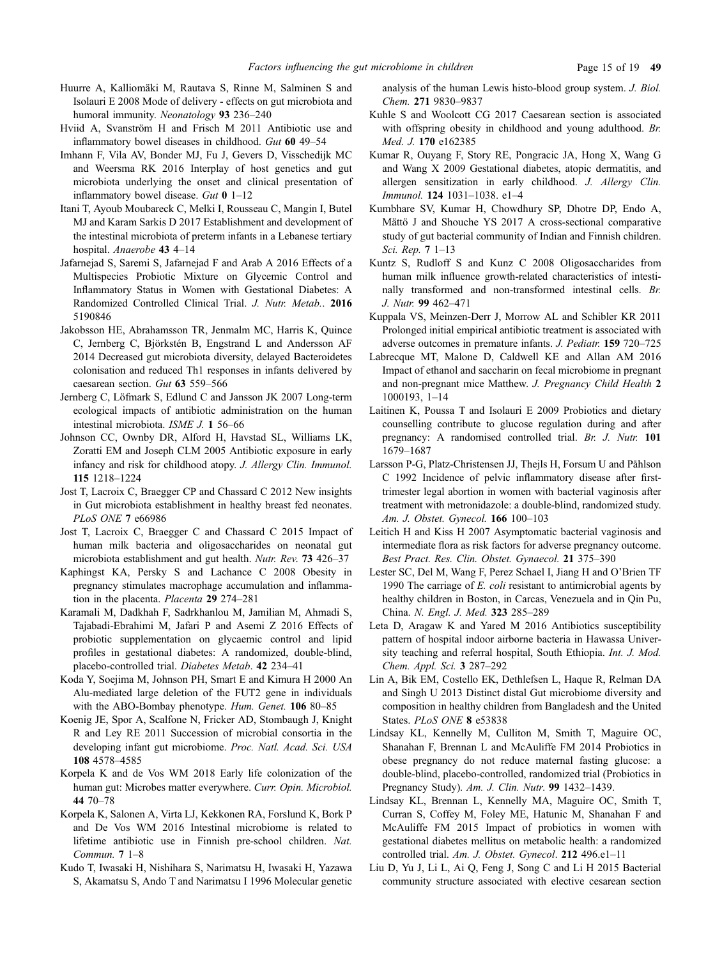- <span id="page-14-0"></span>Huurre A, Kalliomäki M, Rautava S, Rinne M, Salminen S and Isolauri E 2008 Mode of delivery - effects on gut microbiota and humoral immunity. Neonatology 93 236–240
- Hviid A, Svanström H and Frisch M 2011 Antibiotic use and inflammatory bowel diseases in childhood. Gut 60 49–54
- Imhann F, Vila AV, Bonder MJ, Fu J, Gevers D, Visschedijk MC and Weersma RK 2016 Interplay of host genetics and gut microbiota underlying the onset and clinical presentation of inflammatory bowel disease. Gut 0 1–12
- Itani T, Ayoub Moubareck C, Melki I, Rousseau C, Mangin I, Butel MJ and Karam Sarkis D 2017 Establishment and development of the intestinal microbiota of preterm infants in a Lebanese tertiary hospital. Anaerobe 43 4–14
- Jafarnejad S, Saremi S, Jafarnejad F and Arab A 2016 Effects of a Multispecies Probiotic Mixture on Glycemic Control and Inflammatory Status in Women with Gestational Diabetes: A Randomized Controlled Clinical Trial. J. Nutr. Metab.. 2016 5190846
- Jakobsson HE, Abrahamsson TR, Jenmalm MC, Harris K, Quince C, Jernberg C, Björkstén B, Engstrand L and Andersson AF 2014 Decreased gut microbiota diversity, delayed Bacteroidetes colonisation and reduced Th1 responses in infants delivered by caesarean section. Gut 63 559–566
- Jernberg C, Löfmark S, Edlund C and Jansson JK 2007 Long-term ecological impacts of antibiotic administration on the human intestinal microbiota. ISME J. 1 56–66
- Johnson CC, Ownby DR, Alford H, Havstad SL, Williams LK, Zoratti EM and Joseph CLM 2005 Antibiotic exposure in early infancy and risk for childhood atopy. J. Allergy Clin. Immunol. 115 1218–1224
- Jost T, Lacroix C, Braegger CP and Chassard C 2012 New insights in Gut microbiota establishment in healthy breast fed neonates. PLoS ONE 7 e66986
- Jost T, Lacroix C, Braegger C and Chassard C 2015 Impact of human milk bacteria and oligosaccharides on neonatal gut microbiota establishment and gut health. Nutr. Rev. 73 426–37
- Kaphingst KA, Persky S and Lachance C 2008 Obesity in pregnancy stimulates macrophage accumulation and inflammation in the placenta. Placenta 29 274–281
- Karamali M, Dadkhah F, Sadrkhanlou M, Jamilian M, Ahmadi S, Tajabadi-Ebrahimi M, Jafari P and Asemi Z 2016 Effects of probiotic supplementation on glycaemic control and lipid profiles in gestational diabetes: A randomized, double-blind, placebo-controlled trial. Diabetes Metab. 42 234–41
- Koda Y, Soejima M, Johnson PH, Smart E and Kimura H 2000 An Alu-mediated large deletion of the FUT2 gene in individuals with the ABO-Bombay phenotype. Hum. Genet. 106 80–85
- Koenig JE, Spor A, Scalfone N, Fricker AD, Stombaugh J, Knight R and Ley RE 2011 Succession of microbial consortia in the developing infant gut microbiome. Proc. Natl. Acad. Sci. USA 108 4578–4585
- Korpela K and de Vos WM 2018 Early life colonization of the human gut: Microbes matter everywhere. Curr. Opin. Microbiol. 44 70–78
- Korpela K, Salonen A, Virta LJ, Kekkonen RA, Forslund K, Bork P and De Vos WM 2016 Intestinal microbiome is related to lifetime antibiotic use in Finnish pre-school children. Nat. Commun. 7 1–8
- Kudo T, Iwasaki H, Nishihara S, Narimatsu H, Iwasaki H, Yazawa S, Akamatsu S, Ando T and Narimatsu I 1996 Molecular genetic

analysis of the human Lewis histo-blood group system. J. Biol. Chem. 271 9830–9837

- Kuhle S and Woolcott CG 2017 Caesarean section is associated with offspring obesity in childhood and young adulthood. Br. Med. J. 170 e162385
- Kumar R, Ouyang F, Story RE, Pongracic JA, Hong X, Wang G and Wang X 2009 Gestational diabetes, atopic dermatitis, and allergen sensitization in early childhood. J. Allergy Clin. Immunol. 124 1031–1038. e1–4
- Kumbhare SV, Kumar H, Chowdhury SP, Dhotre DP, Endo A, Mättö J and Shouche YS 2017 A cross-sectional comparative study of gut bacterial community of Indian and Finnish children. Sci. Rep. 7 1–13
- Kuntz S, Rudloff S and Kunz C 2008 Oligosaccharides from human milk influence growth-related characteristics of intestinally transformed and non-transformed intestinal cells. Br. J. Nutr. 99 462–471
- Kuppala VS, Meinzen-Derr J, Morrow AL and Schibler KR 2011 Prolonged initial empirical antibiotic treatment is associated with adverse outcomes in premature infants. J. Pediatr. 159 720–725
- Labrecque MT, Malone D, Caldwell KE and Allan AM 2016 Impact of ethanol and saccharin on fecal microbiome in pregnant and non-pregnant mice Matthew. J. Pregnancy Child Health 2 1000193, 1–14
- Laitinen K, Poussa T and Isolauri E 2009 Probiotics and dietary counselling contribute to glucose regulation during and after pregnancy: A randomised controlled trial. Br. J. Nutr. 101 1679–1687
- Larsson P-G, Platz-Christensen JJ, Thejls H, Forsum U and Påhlson C 1992 Incidence of pelvic inflammatory disease after firsttrimester legal abortion in women with bacterial vaginosis after treatment with metronidazole: a double-blind, randomized study. Am. J. Obstet. Gynecol. 166 100–103
- Leitich H and Kiss H 2007 Asymptomatic bacterial vaginosis and intermediate flora as risk factors for adverse pregnancy outcome. Best Pract. Res. Clin. Obstet. Gynaecol. 21 375–390
- Lester SC, Del M, Wang F, Perez Schael I, Jiang H and O'Brien TF 1990 The carriage of E. coli resistant to antimicrobial agents by healthy children in Boston, in Carcas, Venezuela and in Qin Pu, China. N. Engl. J. Med. 323 285–289
- Leta D, Aragaw K and Yared M 2016 Antibiotics susceptibility pattern of hospital indoor airborne bacteria in Hawassa University teaching and referral hospital, South Ethiopia. Int. J. Mod. Chem. Appl. Sci. 3 287–292
- Lin A, Bik EM, Costello EK, Dethlefsen L, Haque R, Relman DA and Singh U 2013 Distinct distal Gut microbiome diversity and composition in healthy children from Bangladesh and the United States. PLoS ONE 8 e53838
- Lindsay KL, Kennelly M, Culliton M, Smith T, Maguire OC, Shanahan F, Brennan L and McAuliffe FM 2014 Probiotics in obese pregnancy do not reduce maternal fasting glucose: a double-blind, placebo-controlled, randomized trial (Probiotics in Pregnancy Study). Am. J. Clin. Nutr. 99 1432–1439.
- Lindsay KL, Brennan L, Kennelly MA, Maguire OC, Smith T, Curran S, Coffey M, Foley ME, Hatunic M, Shanahan F and McAuliffe FM 2015 Impact of probiotics in women with gestational diabetes mellitus on metabolic health: a randomized controlled trial. Am. J. Obstet. Gynecol. 212 496.e1-11
- Liu D, Yu J, Li L, Ai Q, Feng J, Song C and Li H 2015 Bacterial community structure associated with elective cesarean section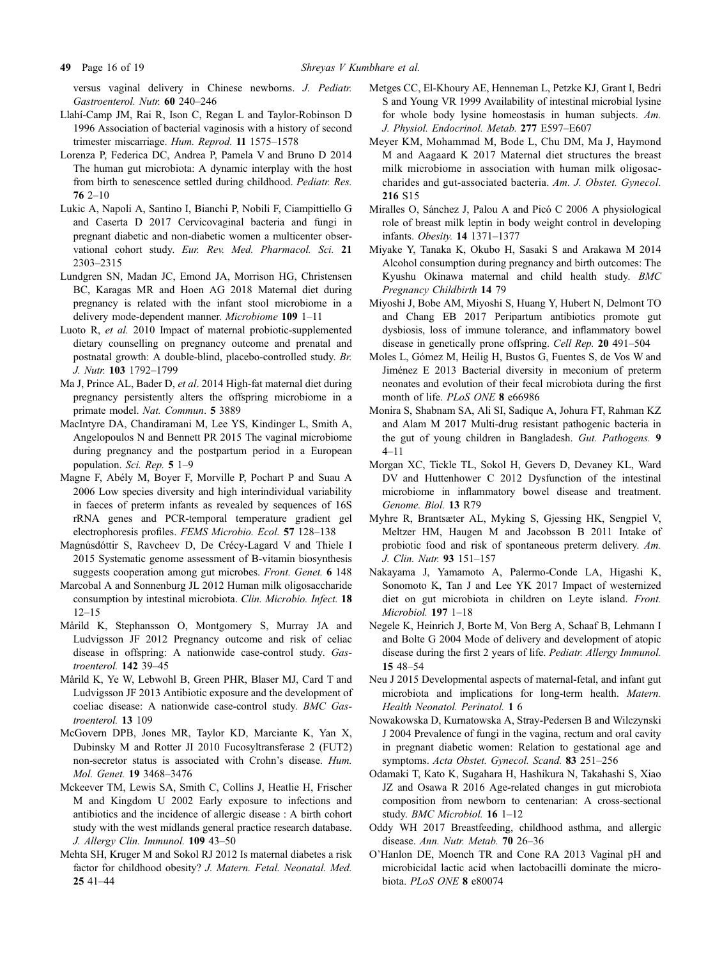<span id="page-15-0"></span>versus vaginal delivery in Chinese newborns. J. Pediatr. Gastroenterol. Nutr. 60 240–246

- Llahı´-Camp JM, Rai R, Ison C, Regan L and Taylor-Robinson D 1996 Association of bacterial vaginosis with a history of second trimester miscarriage. Hum. Reprod. 11 1575–1578
- Lorenza P, Federica DC, Andrea P, Pamela V and Bruno D 2014 The human gut microbiota: A dynamic interplay with the host from birth to senescence settled during childhood. Pediatr. Res.  $762 - 10$
- Lukic A, Napoli A, Santino I, Bianchi P, Nobili F, Ciampittiello G and Caserta D 2017 Cervicovaginal bacteria and fungi in pregnant diabetic and non-diabetic women a multicenter observational cohort study. Eur. Rev. Med. Pharmacol. Sci. 21 2303–2315
- Lundgren SN, Madan JC, Emond JA, Morrison HG, Christensen BC, Karagas MR and Hoen AG 2018 Maternal diet during pregnancy is related with the infant stool microbiome in a delivery mode-dependent manner. Microbiome 109 1–11
- Luoto R, et al. 2010 Impact of maternal probiotic-supplemented dietary counselling on pregnancy outcome and prenatal and postnatal growth: A double-blind, placebo-controlled study. Br. J. Nutr. 103 1792–1799
- Ma J, Prince AL, Bader D, et al. 2014 High-fat maternal diet during pregnancy persistently alters the offspring microbiome in a primate model. Nat. Commun. 5 3889
- MacIntyre DA, Chandiramani M, Lee YS, Kindinger L, Smith A, Angelopoulos N and Bennett PR 2015 The vaginal microbiome during pregnancy and the postpartum period in a European population. Sci. Rep. 5 1–9
- Magne F, Abély M, Boyer F, Morville P, Pochart P and Suau A 2006 Low species diversity and high interindividual variability in faeces of preterm infants as revealed by sequences of 16S rRNA genes and PCR-temporal temperature gradient gel electrophoresis profiles. FEMS Microbio. Ecol. 57 128–138
- Magnúsdóttir S, Ravcheev D, De Crécy-Lagard V and Thiele I 2015 Systematic genome assessment of B-vitamin biosynthesis suggests cooperation among gut microbes. *Front. Genet.* 6 148
- Marcobal A and Sonnenburg JL 2012 Human milk oligosaccharide consumption by intestinal microbiota. Clin. Microbio. Infect. 18 12–15
- Mårild K, Stephansson O, Montgomery S, Murray JA and Ludvigsson JF 2012 Pregnancy outcome and risk of celiac disease in offspring: A nationwide case-control study. Gastroenterol. 142 39–45
- Mårild K, Ye W, Lebwohl B, Green PHR, Blaser MJ, Card T and Ludvigsson JF 2013 Antibiotic exposure and the development of coeliac disease: A nationwide case-control study. BMC Gastroenterol. 13 109
- McGovern DPB, Jones MR, Taylor KD, Marciante K, Yan X, Dubinsky M and Rotter JI 2010 Fucosyltransferase 2 (FUT2) non-secretor status is associated with Crohn's disease. Hum. Mol. Genet. 19 3468–3476
- Mckeever TM, Lewis SA, Smith C, Collins J, Heatlie H, Frischer M and Kingdom U 2002 Early exposure to infections and antibiotics and the incidence of allergic disease : A birth cohort study with the west midlands general practice research database. J. Allergy Clin. Immunol. 109 43–50
- Mehta SH, Kruger M and Sokol RJ 2012 Is maternal diabetes a risk factor for childhood obesity? J. Matern. Fetal. Neonatal. Med. 25 41–44
- Metges CC, El-Khoury AE, Henneman L, Petzke KJ, Grant I, Bedri S and Young VR 1999 Availability of intestinal microbial lysine for whole body lysine homeostasis in human subjects. Am. J. Physiol. Endocrinol. Metab. 277 E597–E607
- Meyer KM, Mohammad M, Bode L, Chu DM, Ma J, Haymond M and Aagaard K 2017 Maternal diet structures the breast milk microbiome in association with human milk oligosaccharides and gut-associated bacteria. Am. J. Obstet. Gynecol. 216 S15
- Miralles O, Sánchez J, Palou A and Picó C 2006 A physiological role of breast milk leptin in body weight control in developing infants. Obesity. 14 1371–1377
- Miyake Y, Tanaka K, Okubo H, Sasaki S and Arakawa M 2014 Alcohol consumption during pregnancy and birth outcomes: The Kyushu Okinawa maternal and child health study. BMC Pregnancy Childbirth 14 79
- Miyoshi J, Bobe AM, Miyoshi S, Huang Y, Hubert N, Delmont TO and Chang EB 2017 Peripartum antibiotics promote gut dysbiosis, loss of immune tolerance, and inflammatory bowel disease in genetically prone offspring. Cell Rep. 20 491–504
- Moles L, Gómez M, Heilig H, Bustos G, Fuentes S, de Vos W and Jiménez E 2013 Bacterial diversity in meconium of preterm neonates and evolution of their fecal microbiota during the first month of life. PLoS ONE 8 e66986
- Monira S, Shabnam SA, Ali SI, Sadique A, Johura FT, Rahman KZ and Alam M 2017 Multi-drug resistant pathogenic bacteria in the gut of young children in Bangladesh. Gut. Pathogens. 9 4–11
- Morgan XC, Tickle TL, Sokol H, Gevers D, Devaney KL, Ward DV and Huttenhower C 2012 Dysfunction of the intestinal microbiome in inflammatory bowel disease and treatment. Genome. Biol. 13 R79
- Myhre R, Brantsæter AL, Myking S, Gjessing HK, Sengpiel V, Meltzer HM, Haugen M and Jacobsson B 2011 Intake of probiotic food and risk of spontaneous preterm delivery. Am. J. Clin. Nutr. 93 151–157
- Nakayama J, Yamamoto A, Palermo-Conde LA, Higashi K, Sonomoto K, Tan J and Lee YK 2017 Impact of westernized diet on gut microbiota in children on Leyte island. Front. Microbiol. 197 1–18
- Negele K, Heinrich J, Borte M, Von Berg A, Schaaf B, Lehmann I and Bolte G 2004 Mode of delivery and development of atopic disease during the first 2 years of life. Pediatr. Allergy Immunol. 15 48–54
- Neu J 2015 Developmental aspects of maternal-fetal, and infant gut microbiota and implications for long-term health. Matern. Health Neonatol. Perinatol. 1 6
- Nowakowska D, Kurnatowska A, Stray-Pedersen B and Wilczynski J 2004 Prevalence of fungi in the vagina, rectum and oral cavity in pregnant diabetic women: Relation to gestational age and symptoms. Acta Obstet. Gynecol. Scand. 83 251–256
- Odamaki T, Kato K, Sugahara H, Hashikura N, Takahashi S, Xiao JZ and Osawa R 2016 Age-related changes in gut microbiota composition from newborn to centenarian: A cross-sectional study. BMC Microbiol. 16 1–12
- Oddy WH 2017 Breastfeeding, childhood asthma, and allergic disease. Ann. Nutr. Metab. 70 26–36
- O'Hanlon DE, Moench TR and Cone RA 2013 Vaginal pH and microbicidal lactic acid when lactobacilli dominate the microbiota. PLoS ONE 8 e80074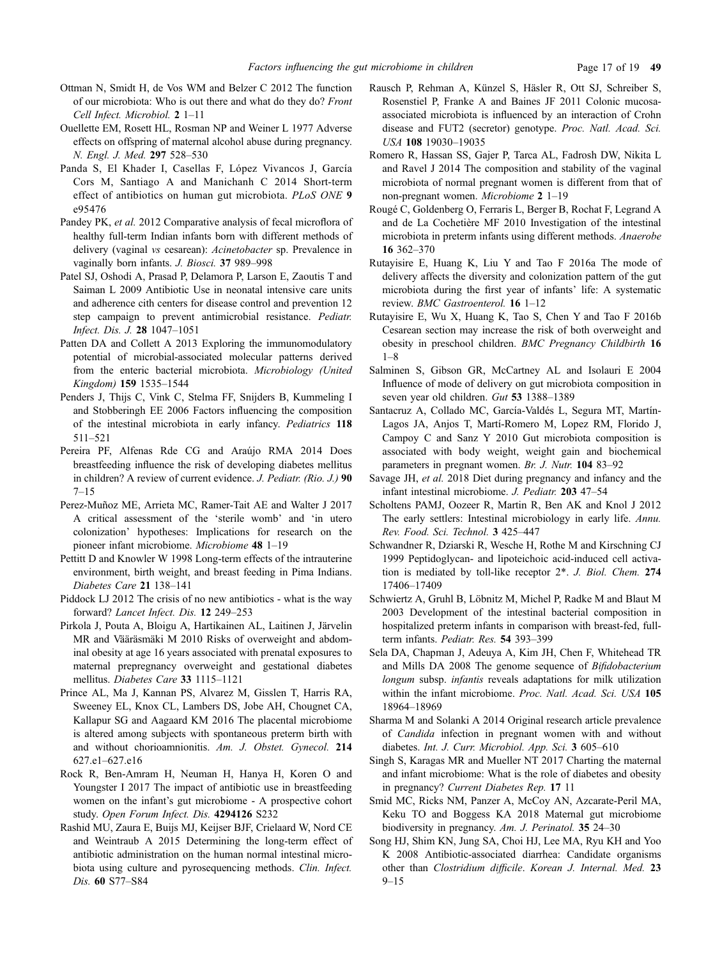- <span id="page-16-0"></span>Ottman N, Smidt H, de Vos WM and Belzer C 2012 The function of our microbiota: Who is out there and what do they do? Front Cell Infect. Microbiol. 2 1–11
- Ouellette EM, Rosett HL, Rosman NP and Weiner L 1977 Adverse effects on offspring of maternal alcohol abuse during pregnancy. N. Engl. J. Med. 297 528–530
- Panda S, El Khader I, Casellas F, López Vivancos J, García Cors M, Santiago A and Manichanh C 2014 Short-term effect of antibiotics on human gut microbiota. PLoS ONE 9 e95476
- Pandey PK, et al. 2012 Comparative analysis of fecal microflora of healthy full-term Indian infants born with different methods of delivery (vaginal vs cesarean): Acinetobacter sp. Prevalence in vaginally born infants. J. Biosci. 37 989–998
- Patel SJ, Oshodi A, Prasad P, Delamora P, Larson E, Zaoutis T and Saiman L 2009 Antibiotic Use in neonatal intensive care units and adherence cith centers for disease control and prevention 12 step campaign to prevent antimicrobial resistance. Pediatr. Infect. Dis. J. 28 1047–1051
- Patten DA and Collett A 2013 Exploring the immunomodulatory potential of microbial-associated molecular patterns derived from the enteric bacterial microbiota. Microbiology (United Kingdom) 159 1535–1544
- Penders J, Thijs C, Vink C, Stelma FF, Snijders B, Kummeling I and Stobberingh EE 2006 Factors influencing the composition of the intestinal microbiota in early infancy. Pediatrics 118 511–521
- Pereira PF, Alfenas Rde CG and Araújo RMA 2014 Does breastfeeding influence the risk of developing diabetes mellitus in children? A review of current evidence. J. Pediatr. (Rio. J.) 90 7–15
- Perez-Muñoz ME, Arrieta MC, Ramer-Tait AE and Walter J 2017 A critical assessment of the 'sterile womb' and 'in utero colonization' hypotheses: Implications for research on the pioneer infant microbiome. Microbiome 48 1–19
- Pettitt D and Knowler W 1998 Long-term effects of the intrauterine environment, birth weight, and breast feeding in Pima Indians. Diabetes Care 21 138–141
- Piddock LJ 2012 The crisis of no new antibiotics what is the way forward? Lancet Infect. Dis. 12 249–253
- Pirkola J, Pouta A, Bloigu A, Hartikainen AL, Laitinen J, Järvelin MR and Vääräsmäki M 2010 Risks of overweight and abdominal obesity at age 16 years associated with prenatal exposures to maternal prepregnancy overweight and gestational diabetes mellitus. Diabetes Care 33 1115–1121
- Prince AL, Ma J, Kannan PS, Alvarez M, Gisslen T, Harris RA, Sweeney EL, Knox CL, Lambers DS, Jobe AH, Chougnet CA, Kallapur SG and Aagaard KM 2016 The placental microbiome is altered among subjects with spontaneous preterm birth with and without chorioamnionitis. Am. J. Obstet. Gynecol. 214 627.e1–627.e16
- Rock R, Ben-Amram H, Neuman H, Hanya H, Koren O and Youngster I 2017 The impact of antibiotic use in breastfeeding women on the infant's gut microbiome - A prospective cohort study. Open Forum Infect. Dis. 4294126 S232
- Rashid MU, Zaura E, Buijs MJ, Keijser BJF, Crielaard W, Nord CE and Weintraub A 2015 Determining the long-term effect of antibiotic administration on the human normal intestinal microbiota using culture and pyrosequencing methods. Clin. Infect. Dis. 60 S77–S84
- Rausch P, Rehman A, Künzel S, Häsler R, Ott SJ, Schreiber S, Rosenstiel P, Franke A and Baines JF 2011 Colonic mucosaassociated microbiota is influenced by an interaction of Crohn disease and FUT2 (secretor) genotype. Proc. Natl. Acad. Sci. USA 108 19030–19035
- Romero R, Hassan SS, Gajer P, Tarca AL, Fadrosh DW, Nikita L and Ravel J 2014 The composition and stability of the vaginal microbiota of normal pregnant women is different from that of non-pregnant women. Microbiome 2 1–19
- Rouge´ C, Goldenberg O, Ferraris L, Berger B, Rochat F, Legrand A and de La Cochetière MF 2010 Investigation of the intestinal microbiota in preterm infants using different methods. Anaerobe 16 362–370
- Rutayisire E, Huang K, Liu Y and Tao F 2016a The mode of delivery affects the diversity and colonization pattern of the gut microbiota during the first year of infants' life: A systematic review. BMC Gastroenterol. 16 1–12
- Rutayisire E, Wu X, Huang K, Tao S, Chen Y and Tao F 2016b Cesarean section may increase the risk of both overweight and obesity in preschool children. BMC Pregnancy Childbirth 16 1–8
- Salminen S, Gibson GR, McCartney AL and Isolauri E 2004 Influence of mode of delivery on gut microbiota composition in seven year old children. Gut 53 1388–1389
- Santacruz A, Collado MC, García-Valdés L, Segura MT, Martín-Lagos JA, Anjos T, Martí-Romero M, Lopez RM, Florido J, Campoy C and Sanz Y 2010 Gut microbiota composition is associated with body weight, weight gain and biochemical parameters in pregnant women. Br. J. Nutr. 104 83–92
- Savage JH, et al. 2018 Diet during pregnancy and infancy and the infant intestinal microbiome. J. Pediatr. 203 47–54
- Scholtens PAMJ, Oozeer R, Martin R, Ben AK and Knol J 2012 The early settlers: Intestinal microbiology in early life. Annu. Rev. Food. Sci. Technol. 3 425–447
- Schwandner R, Dziarski R, Wesche H, Rothe M and Kirschning CJ 1999 Peptidoglycan- and lipoteichoic acid-induced cell activation is mediated by toll-like receptor 2\*. J. Biol. Chem. 274 17406–17409
- Schwiertz A, Gruhl B, Löbnitz M, Michel P, Radke M and Blaut M 2003 Development of the intestinal bacterial composition in hospitalized preterm infants in comparison with breast-fed, fullterm infants. Pediatr. Res. 54 393-399
- Sela DA, Chapman J, Adeuya A, Kim JH, Chen F, Whitehead TR and Mills DA 2008 The genome sequence of Bifidobacterium longum subsp. infantis reveals adaptations for milk utilization within the infant microbiome. Proc. Natl. Acad. Sci. USA 105 18964–18969
- Sharma M and Solanki A 2014 Original research article prevalence of Candida infection in pregnant women with and without diabetes. Int. J. Curr. Microbiol. App. Sci. 3 605–610
- Singh S, Karagas MR and Mueller NT 2017 Charting the maternal and infant microbiome: What is the role of diabetes and obesity in pregnancy? Current Diabetes Rep. 17 11
- Smid MC, Ricks NM, Panzer A, McCoy AN, Azcarate-Peril MA, Keku TO and Boggess KA 2018 Maternal gut microbiome biodiversity in pregnancy. Am. J. Perinatol. 35 24–30
- Song HJ, Shim KN, Jung SA, Choi HJ, Lee MA, Ryu KH and Yoo K 2008 Antibiotic-associated diarrhea: Candidate organisms other than Clostridium difficile. Korean J. Internal. Med. 23 9–15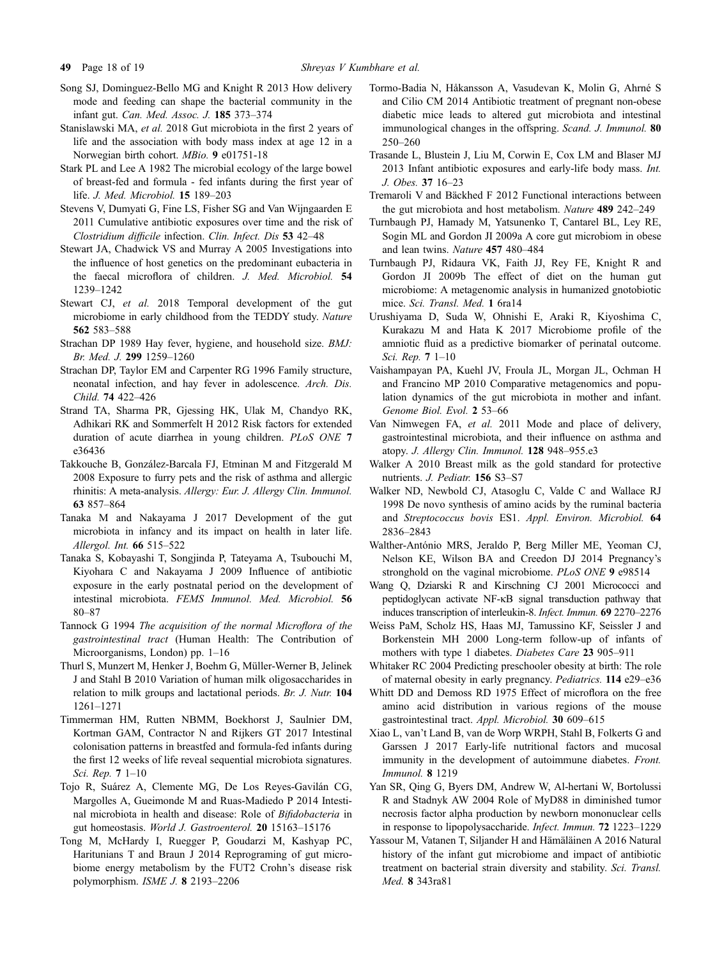- <span id="page-17-0"></span>Song SJ, Dominguez-Bello MG and Knight R 2013 How delivery mode and feeding can shape the bacterial community in the infant gut. Can. Med. Assoc. J. 185 373–374
- Stanislawski MA, et al. 2018 Gut microbiota in the first 2 years of life and the association with body mass index at age 12 in a Norwegian birth cohort. MBio. 9 e01751-18
- Stark PL and Lee A 1982 The microbial ecology of the large bowel of breast-fed and formula - fed infants during the first year of life. J. Med. Microbiol. 15 189–203
- Stevens V, Dumyati G, Fine LS, Fisher SG and Van Wijngaarden E 2011 Cumulative antibiotic exposures over time and the risk of Clostridium difficile infection. Clin. Infect. Dis 53 42–48
- Stewart JA, Chadwick VS and Murray A 2005 Investigations into the influence of host genetics on the predominant eubacteria in the faecal microflora of children. J. Med. Microbiol. 54 1239–1242
- Stewart CJ, et al. 2018 Temporal development of the gut microbiome in early childhood from the TEDDY study. Nature 562 583–588
- Strachan DP 1989 Hay fever, hygiene, and household size. BMJ: Br. Med. J. 299 1259–1260
- Strachan DP, Taylor EM and Carpenter RG 1996 Family structure, neonatal infection, and hay fever in adolescence. Arch. Dis. Child. 74 422–426
- Strand TA, Sharma PR, Gjessing HK, Ulak M, Chandyo RK, Adhikari RK and Sommerfelt H 2012 Risk factors for extended duration of acute diarrhea in young children. PLoS ONE 7 e36436
- Takkouche B, González-Barcala FJ, Etminan M and Fitzgerald M 2008 Exposure to furry pets and the risk of asthma and allergic rhinitis: A meta-analysis. Allergy: Eur. J. Allergy Clin. Immunol. 63 857–864
- Tanaka M and Nakayama J 2017 Development of the gut microbiota in infancy and its impact on health in later life. Allergol. Int. 66 515–522
- Tanaka S, Kobayashi T, Songjinda P, Tateyama A, Tsubouchi M, Kiyohara C and Nakayama J 2009 Influence of antibiotic exposure in the early postnatal period on the development of intestinal microbiota. FEMS Immunol. Med. Microbiol. 56 80–87
- Tannock G 1994 The acquisition of the normal Microflora of the gastrointestinal tract (Human Health: The Contribution of Microorganisms, London) pp. 1–16
- Thurl S, Munzert M, Henker J, Boehm G, Müller-Werner B, Jelinek J and Stahl B 2010 Variation of human milk oligosaccharides in relation to milk groups and lactational periods. Br. J. Nutr. 104 1261–1271
- Timmerman HM, Rutten NBMM, Boekhorst J, Saulnier DM, Kortman GAM, Contractor N and Rijkers GT 2017 Intestinal colonisation patterns in breastfed and formula-fed infants during the first 12 weeks of life reveal sequential microbiota signatures. Sci. Rep. 7 1–10
- Tojo R, Suárez A, Clemente MG, De Los Reyes-Gavilán CG, Margolles A, Gueimonde M and Ruas-Madiedo P 2014 Intestinal microbiota in health and disease: Role of Bifidobacteria in gut homeostasis. World J. Gastroenterol. 20 15163–15176
- Tong M, McHardy I, Ruegger P, Goudarzi M, Kashyap PC, Haritunians T and Braun J 2014 Reprograming of gut microbiome energy metabolism by the FUT2 Crohn's disease risk polymorphism. ISME J. 8 2193–2206
- Tormo-Badia N, Håkansson A, Vasudevan K, Molin G, Ahrné S and Cilio CM 2014 Antibiotic treatment of pregnant non-obese diabetic mice leads to altered gut microbiota and intestinal immunological changes in the offspring. Scand. J. Immunol. 80 250–260
- Trasande L, Blustein J, Liu M, Corwin E, Cox LM and Blaser MJ 2013 Infant antibiotic exposures and early-life body mass. Int. J. Obes. 37 16–23
- Tremaroli V and Bäckhed F 2012 Functional interactions between the gut microbiota and host metabolism. Nature 489 242–249
- Turnbaugh PJ, Hamady M, Yatsunenko T, Cantarel BL, Ley RE, Sogin ML and Gordon JI 2009a A core gut microbiom in obese and lean twins. Nature 457 480–484
- Turnbaugh PJ, Ridaura VK, Faith JJ, Rey FE, Knight R and Gordon JI 2009b The effect of diet on the human gut microbiome: A metagenomic analysis in humanized gnotobiotic mice. Sci. Transl. Med. 1 6ra14
- Urushiyama D, Suda W, Ohnishi E, Araki R, Kiyoshima C, Kurakazu M and Hata K 2017 Microbiome profile of the amniotic fluid as a predictive biomarker of perinatal outcome. Sci. Rep. 7 1–10
- Vaishampayan PA, Kuehl JV, Froula JL, Morgan JL, Ochman H and Francino MP 2010 Comparative metagenomics and population dynamics of the gut microbiota in mother and infant. Genome Biol. Evol. 2 53–66
- Van Nimwegen FA, et al. 2011 Mode and place of delivery, gastrointestinal microbiota, and their influence on asthma and atopy. J. Allergy Clin. Immunol. 128 948–955.e3
- Walker A 2010 Breast milk as the gold standard for protective nutrients. J. Pediatr. 156 S3-S7
- Walker ND, Newbold CJ, Atasoglu C, Valde C and Wallace RJ 1998 De novo synthesis of amino acids by the ruminal bacteria and Streptococcus bovis ES1. Appl. Environ. Microbiol. 64 2836–2843
- Walther-António MRS, Jeraldo P, Berg Miller ME, Yeoman CJ, Nelson KE, Wilson BA and Creedon DJ 2014 Pregnancy's stronghold on the vaginal microbiome. PLoS ONE 9 e98514
- Wang Q, Dziarski R and Kirschning CJ 2001 Micrococci and peptidoglycan activate  $NF$ - $\kappa$ B signal transduction pathway that induces transcription of interleukin-8. Infect. Immun. 69 2270–2276
- Weiss PaM, Scholz HS, Haas MJ, Tamussino KF, Seissler J and Borkenstein MH 2000 Long-term follow-up of infants of mothers with type 1 diabetes. Diabetes Care 23 905-911
- Whitaker RC 2004 Predicting preschooler obesity at birth: The role of maternal obesity in early pregnancy. Pediatrics. 114 e29–e36
- Whitt DD and Demoss RD 1975 Effect of microflora on the free amino acid distribution in various regions of the mouse gastrointestinal tract. Appl. Microbiol. 30 609–615
- Xiao L, van't Land B, van de Worp WRPH, Stahl B, Folkerts G and Garssen J 2017 Early-life nutritional factors and mucosal immunity in the development of autoimmune diabetes. Front. Immunol. 8 1219
- Yan SR, Qing G, Byers DM, Andrew W, Al-hertani W, Bortolussi R and Stadnyk AW 2004 Role of MyD88 in diminished tumor necrosis factor alpha production by newborn mononuclear cells in response to lipopolysaccharide. Infect. Immun. 72 1223–1229
- Yassour M, Vatanen T, Siljander H and Hämäläinen A 2016 Natural history of the infant gut microbiome and impact of antibiotic treatment on bacterial strain diversity and stability. Sci. Transl. Med. 8 343ra81